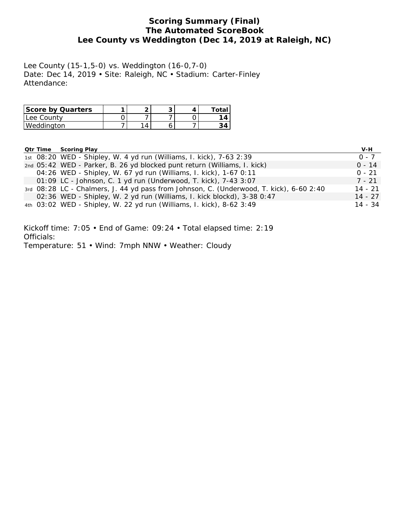# **Scoring Summary (Final) The Automated ScoreBook Lee County vs Weddington (Dec 14, 2019 at Raleigh, NC)**

Lee County (15-1,5-0) vs. Weddington (16-0,7-0) Date: Dec 14, 2019 • Site: Raleigh, NC • Stadium: Carter-Finley Attendance:

| <b>Score by Quarters</b> | ⌒ |  | Total |
|--------------------------|---|--|-------|
| Lee County               |   |  |       |
| Weddington               | 4 |  |       |

|  | <b>Qtr Time Scoring Play</b>                                                            | V-H       |
|--|-----------------------------------------------------------------------------------------|-----------|
|  | 1st 08:20 WED - Shipley, W. 4 yd run (Williams, I. kick), 7-63 2:39                     | $0 - 7$   |
|  | 2nd 05:42 WED - Parker, B. 26 yd blocked punt return (Williams, I. kick)                | $0 - 14$  |
|  | 04:26 WED - Shipley, W. 67 yd run (Williams, I. kick), 1-67 0:11                        | $0 - 21$  |
|  | 01:09 LC - Johnson, C. 1 yd run (Underwood, T. kick), 7-43 3:07                         | 7 - 21    |
|  | 3rd 08:28 LC - Chalmers, J. 44 yd pass from Johnson, C. (Underwood, T. kick), 6-60 2:40 | $14 - 21$ |
|  | 02:36 WED - Shipley, W. 2 yd run (Williams, I. kick blockd), 3-38 0:47                  | $14 - 27$ |
|  | 4th 03:02 WED - Shipley, W. 22 yd run (Williams, I. kick), 8-62 3:49                    | $14 - 34$ |

Kickoff time: 7:05 • End of Game: 09:24 • Total elapsed time: 2:19 Officials: Temperature: 51 • Wind: 7mph NNW • Weather: Cloudy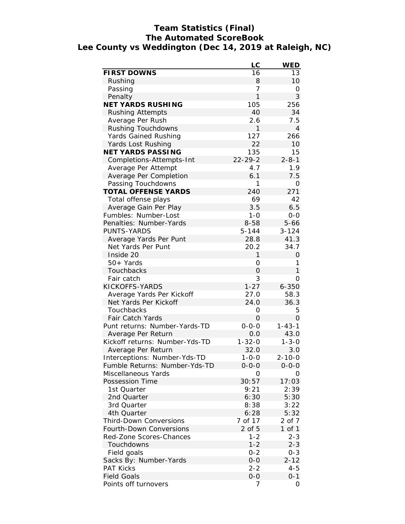# **Team Statistics (Final) The Automated ScoreBook Lee County vs Weddington (Dec 14, 2019 at Raleigh, NC)**

|                                | LC             | <b>WED</b>      |
|--------------------------------|----------------|-----------------|
| <b>FIRST DOWNS</b>             | 16             | 13              |
| Rushing                        | 8              | 10 <sup>°</sup> |
| Passing                        | 7              | 0               |
| Penalty                        | $\mathbf{1}$   | 3               |
| <b>NET YARDS RUSHING</b>       | 105            | 256             |
| <b>Rushing Attempts</b>        | 40             | 34              |
| Average Per Rush               | 2.6            | 7.5             |
| Rushing Touchdowns             | 1              | $\overline{4}$  |
| Yards Gained Rushing           | 127            | 266             |
| Yards Lost Rushing             | 22             | 10              |
| <b>NET YARDS PASSING</b>       | 135            | 15              |
| Completions-Attempts-Int       | $22 - 29 - 2$  | $2 - 8 - 1$     |
| Average Per Attempt            | 4.7            | 1.9             |
| Average Per Completion         | 6.1            | 7.5             |
| Passing Touchdowns             | 1              | 0               |
| <b>TOTAL OFFENSE YARDS</b>     | 240            | 271             |
| Total offense plays            | 69             | 42              |
| Average Gain Per Play          | 3.5            | 6.5             |
| Fumbles: Number-Lost           | $1 - 0$        | $0 - 0$         |
| Penalties: Number-Yards        | $8 - 58$       | $5 - 66$        |
| <b>PUNTS-YARDS</b>             | $5 - 144$      | $3 - 124$       |
| Average Yards Per Punt         | 28.8           | 41.3            |
| Net Yards Per Punt             | 20.2           | 34.7            |
| Inside 20                      | 1              | 0               |
| 50+ Yards                      | 0              | 1               |
| Touchbacks                     | $\overline{O}$ | 1               |
| Fair catch                     | 3              | O               |
| KICKOFFS-YARDS                 | $1 - 27$       | $6 - 350$       |
| Average Yards Per Kickoff      | 27.0           | 58.3            |
| Net Yards Per Kickoff          | 24.0           | 36.3            |
| Touchbacks                     | 0              | 5               |
| <b>Fair Catch Yards</b>        | $\mathbf 0$    | 0               |
| Punt returns: Number-Yards-TD  | $0 - 0 - 0$    | $1 - 43 - 1$    |
| Average Per Return             | 0.0            | 43.0            |
| Kickoff returns: Number-Yds-TD | $1 - 32 - 0$   | $1 - 3 - 0$     |
| Average Per Return             | 32.0           | 3.0             |
| Interceptions: Number-Yds-TD   | 1-0-0          | $2 - 10 - 0$    |
| Fumble Returns: Number-Yds-TD  | $0 - 0 - 0$    | $0 - 0 - 0$     |
| Miscellaneous Yards            | O              | 0               |
| Possession Time                | 30:57          | 17:03           |
| 1st Quarter                    | 9:21           | 2:39            |
| 2nd Quarter                    | 6:30           | 5:30            |
| 3rd Quarter                    | 8:38           | 3:22            |
| 4th Quarter                    | 6:28           | 5:32            |
| <b>Third-Down Conversions</b>  | 7 of 17        | 2 of 7          |
| <b>Fourth-Down Conversions</b> | 2 of 5         | 1 of 1          |
| Red-Zone Scores-Chances        | $1 - 2$        | $2 - 3$         |
| Touchdowns                     | $1 - 2$        | $2 - 3$         |
| Field goals                    | $0 - 2$        | $0 - 3$         |
| Sacks By: Number-Yards         | $O-O$          | $2 - 12$        |
| <b>PAT Kicks</b>               | $2 - 2$        | 4-5             |
| <b>Field Goals</b>             | 0-0            | $0 - 1$         |
| Points off turnovers           | 7              | 0               |
|                                |                |                 |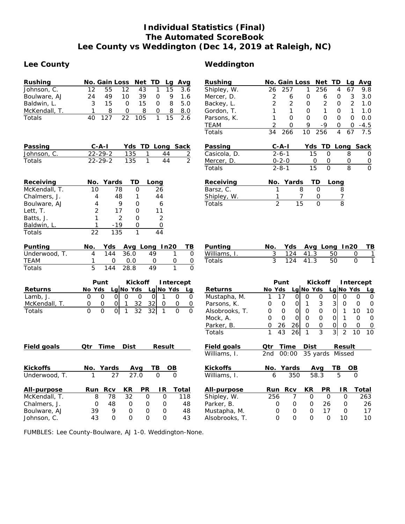# **Individual Statistics (Final) The Automated ScoreBook Lee County vs Weddington (Dec 14, 2019 at Raleigh, NC)**

| <b>Rushing</b> |               | No. Gain Loss Net TD Lg Avg |                  |     |                   |     |       |
|----------------|---------------|-----------------------------|------------------|-----|-------------------|-----|-------|
| Johnson, C.    |               | 55.                         | 12               | 43  |                   | 15. | - 3.6 |
| Boulware, AJ   | 24            | 49                          | 10               | 39. | O                 | Q   | 16    |
| Baldwin, L.    | $\mathcal{S}$ | 15                          | <sup>o</sup>     | 15  | O                 | 8   | 5.0   |
| McKendall, T.  |               | я                           | $\left( \right)$ | 8   | $\mathbf{\Omega}$ | 8   | 8.0   |
| Totals         |               |                             | $22-$            | 105 | $\overline{1}$    | 15. | 26    |

| Passing       | C-A-I     |      | Yds TD Long Sack |  |
|---------------|-----------|------|------------------|--|
| Johnson, C.   | 22-29-2   | 1.35 | 44               |  |
| <b>Totals</b> | $22-29-2$ | 135  | 44               |  |

| Receiving     |               | No. Yards     | - TD | Long          |
|---------------|---------------|---------------|------|---------------|
| McKendall, T. | 10            | 78            |      | 26            |
| Chalmers, J.  |               | 48            |      | 44            |
| Boulware, AJ  |               | 9             | റ    | 6             |
| Lett, T.      | $\mathcal{P}$ | 17            | O    | 11            |
| Batts, J.     |               | $\mathcal{P}$ | O    | $\mathcal{P}$ |
| Baldwin, L.   |               | -19           |      | ი             |
| Totals        | フフ            | 135           |      |               |

| Punting       | No. |              |          | Yds Avg Long In20 | ΤВ |
|---------------|-----|--------------|----------|-------------------|----|
| Underwood, T. |     |              | 144 36.0 | 49                |    |
| TEAM          |     | $\mathbf{O}$ | n n      |                   |    |
| Totals        |     |              | 144 28.8 | 49                |    |

|               | Punt   |  |  |                     |     | Kickoff Intercept |  |  |
|---------------|--------|--|--|---------------------|-----|-------------------|--|--|
| Returns       | No Yds |  |  | Lg No Yds Lg No Yds |     |                   |  |  |
| Lamb, J.      |        |  |  |                     |     |                   |  |  |
| McKendall, T. |        |  |  | -32.                | 32I |                   |  |  |
| Totals        |        |  |  | 32                  |     |                   |  |  |

| Field goals     | Qtr        | Time       | Dist     |           | Result   |          | Field goals     | Otr      | Time       | Dist     |           | Result   |    |
|-----------------|------------|------------|----------|-----------|----------|----------|-----------------|----------|------------|----------|-----------|----------|----|
|                 |            |            |          |           |          |          | Williams, I.    | 2nd      | 00:00      | 35 yards |           | Missed   |    |
| <b>Kickoffs</b> |            | No. Yards  |          | Ava       | ΤВ       | OВ       | <b>Kickoffs</b> | No.      | Yards      | Ava      |           | ΤВ       | ΟI |
| Underwood, T.   |            | 27         | 27.0     |           | 0        | $\Omega$ | Williams, I.    | 6        | 350        | 58.3     |           | 5        |    |
| All-purpose     | <b>Run</b> | <b>Rcv</b> | KR       | <b>PR</b> | IR.      | Total    | All-purpose     | Run      | <b>Rcv</b> | KR       | <b>PR</b> | IR.      |    |
| McKendall, T.   | 8          | 78         | 32       | 0         | $\Omega$ | 118      | Shipley, W.     | 256      |            | Ο        |           | $\Omega$ |    |
| Chalmers, J.    | 0          | 48         | 0        | 0         | $\Omega$ | 48       | Parker, B.      | 0        | 0          | 0        | 26        | O        |    |
| Boulware, AJ    | 39         | 9          | $\Omega$ | 0         | $\Omega$ | 48       | Mustapha, M.    | $\Omega$ | $\Omega$   | 0        | 17        | O        |    |
| Johnson, C.     | 43         | $\Omega$   | $\Omega$ | $\Omega$  | $\Omega$ | 43       | Alsobrooks, T.  | $\Omega$ | $\Omega$   | 0        |           | 10       |    |

| ι υιαιο                             |                       | ∠        | ں ا                                    |                                | ◡               |                | ပ                               |                  |                  |
|-------------------------------------|-----------------------|----------|----------------------------------------|--------------------------------|-----------------|----------------|---------------------------------|------------------|------------------|
|                                     |                       |          |                                        |                                |                 |                |                                 |                  |                  |
|                                     |                       |          |                                        |                                |                 |                |                                 |                  |                  |
| <b>Punting</b>                      | No.                   |          | Yds                                    |                                | Avg Long        |                |                                 | In20             | Т <u>В</u>       |
| Williams, I.                        | $\overline{3}$        |          | 124                                    | 41.3                           |                 | 50             |                                 | 0                | 1                |
| Totals                              | $\overline{3}$        |          | 124                                    | 41.3                           |                 | 50             |                                 | $\Omega$         | 1                |
|                                     |                       |          |                                        |                                |                 |                |                                 |                  |                  |
|                                     |                       | Punt     |                                        |                                | Kickoff         |                |                                 | <b>Intercept</b> |                  |
| <b>Returns</b>                      | No Yds                |          |                                        | Lg No Yds                      |                 |                |                                 | Lg NoYds         | <u>Lg</u>        |
| Mustapha, M.                        | 1                     | 17       | 0                                      | 0                              | Ο               | 0              | 0                               | O                | O                |
| Parsons, K.                         | 0                     | O        | 0l                                     | 1                              | 3               | 3              | 0                               | 0                | 0                |
| Alsobrooks, T.                      | O                     | $\Omega$ | Οl                                     | 0                              | 0               | Οl             | 1                               | 10               | 10               |
| Mock, A.                            | 0                     | 0        | Οl                                     | 0                              | 0               | Οl             | 1                               | 0                | 0                |
| Parker, B.                          | 0                     | 26       | 26                                     | 0                              | 0               | Οl             | 0                               | 0                | 0                |
| Totals                              | 1                     | 43       | 26                                     | 1                              | 3               | $\overline{3}$ | $\overline{2}$                  | 10               | 10               |
| <b>Field goals</b>                  | Qtr                   |          | Time                                   | <b>Dist</b>                    |                 |                | <b>Result</b>                   |                  |                  |
| Williams, I.                        | 2 <sub>nd</sub>       |          | 00:00                                  |                                | 35 yards Missed |                |                                 |                  |                  |
| <b>Kickoffs</b>                     | No.                   |          | Yards                                  |                                | <b>Avg</b>      | TВ             |                                 | OВ               |                  |
| Williams, I.                        | 6                     |          | 350                                    |                                | 58.3            |                | 5                               | $\Omega$         |                  |
| All-purpose<br><u>.</u><br>$\cdots$ | Run<br>$\sim$ $ \sim$ |          | <b>Rcv</b><br>$\overline{\phantom{0}}$ | KR<br>$\overline{\phantom{0}}$ | PR              |                | IR.<br>$\overline{\phantom{0}}$ |                  | Total<br><b></b> |

| All-purpose    | Run | <b>Rcv</b> | KR | <b>PR</b> | I R | Total |
|----------------|-----|------------|----|-----------|-----|-------|
| Shipley, W.    | 256 |            |    |           |     | 263   |
| Parker, B.     |     |            |    | 26        |     | 26    |
| Mustapha, M.   |     |            |    |           |     | 17    |
| Alsobrooks, T. |     |            |    |           | 10  | 10    |
|                |     |            |    |           |     |       |

FUMBLES: Lee County-Boulware, AJ 1-0. Weddington-None.

## Lee County **County Weddington**

| Passing        |                | C-A-I                      |              |         | Yds TD Long Sack    |                    |
|----------------|----------------|----------------------------|--------------|---------|---------------------|--------------------|
| Casicola, D.   |                | 2-6-1                      | 15           | Ω       | 8                   | 0                  |
| Mercer, D.     |                | $0 - 2 - 0$                | 0            | 0       | 0                   | $\overline{0}$     |
| Totals         |                | $2 - 8 - 1$                | 15           | O       | 8                   | $\Omega$           |
| Receiving      | No.            | Yards                      | TD           |         | Long                |                    |
| Barsz, C.      | 1              |                            | 8<br>0       |         | 8                   |                    |
| Shipley, W.    | 1              |                            | 7<br>0       |         | $\overline{1}$      |                    |
| Totals         | $\overline{2}$ | 15                         | O            |         | 8                   |                    |
|                |                |                            |              |         |                     |                    |
| Punting        | No.            | Yds                        | Avg Long     |         | In20                | Т <u>В</u>         |
| Williams, I.   | 3              | 124                        | 41.3         | 50      |                     | 1<br>Ο             |
| Totals         | 3              | 124                        | 41.3         | 50      |                     | Ω                  |
|                |                |                            |              |         |                     |                    |
|                |                | Punt                       |              | Kickoff |                     | <b>Intercept</b>   |
| <b>Returns</b> |                | No Yds Lg No Yds Lg No Yds |              |         |                     | Lg                 |
| Mustapha, M.   | 1              | 17<br>Οl                   | 0            | 0       | 0<br>0l             | Ο<br>0             |
| Parsons, K.    | 0              | 0<br>Οl                    | $\mathbf{1}$ | 3       | $\overline{3}$<br>0 | 0<br>0             |
| Alcohrooks T   | $\sim$ $\sim$  | $\sim$                     | $\sim$       | $\sim$  | $\sim$<br>1         | 1 O<br>$1^{\circ}$ |

**Rushing No. Gain Loss Net TD Lg Avg** Shipley, W. 26 257 1 256 4 67 9.8 Mercer, D. 2 6 0 6 0 3 3.0 Backey, L. 2 2 0 2 0 2 1.0 Gordon, T. 1 1 0 1 0 1 1.0 Parsons, K. 1 0 0 0 0 0 0.0<br>TEAM 2 0 9 -9 0 0 -4.5 TEAM 2 0 9 -9 0 0 -4.5<br>Totals 34 266 10 256 4 67 7.5

Totals 34 266 10 256 4 67 7.5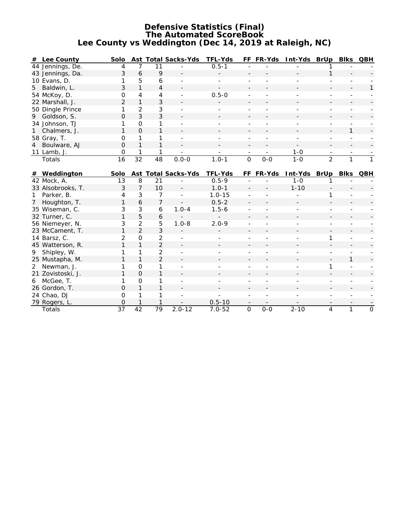### **Defensive Statistics (Final) The Automated ScoreBook Lee County vs Weddington (Dec 14, 2019 at Raleigh, NC)**

|              | # Lee County      | <b>Solo</b>     |                |                | <b>Ast Total Sacks-Yds</b> | <b>TFL-Yds</b> |                | FF FR-Yds                | Int-Yds BrUp |                          | <b>Blks</b>              | QBH                 |
|--------------|-------------------|-----------------|----------------|----------------|----------------------------|----------------|----------------|--------------------------|--------------|--------------------------|--------------------------|---------------------|
|              | 44 Jennings, De.  | 4               | 7              | 11             |                            | $0.5 - 1$      |                |                          |              |                          |                          |                     |
|              | 43 Jennings, Da.  | 3               | 6              | 9              |                            |                |                |                          |              |                          |                          |                     |
|              | 10 Evans, D.      | 1               | 5              | 6              |                            |                |                |                          |              |                          |                          |                     |
| 5            | Baldwin, L.       | 3               | $\mathbf{1}$   | 4              |                            |                |                |                          |              |                          |                          |                     |
|              | 54 McKoy, D.      | 0               | 4              | 4              |                            | $0.5 - 0$      |                |                          |              |                          |                          |                     |
|              | 22 Marshall, J.   | $\overline{2}$  | $\mathbf{1}$   | 3              |                            |                |                |                          |              |                          |                          |                     |
|              | 50 Dingle Prince  | 1               | $\overline{2}$ | 3              |                            |                |                |                          |              |                          |                          |                     |
| 9            | Goldson, S.       | $\Omega$        | 3              | 3              |                            |                |                |                          |              |                          |                          |                     |
|              | 34 Johnson, TJ    | 1               | $\Omega$       | 1              |                            |                |                |                          |              |                          |                          |                     |
| $\mathbf{1}$ | Chalmers, J.      | 1               | $\mathbf 0$    | $\mathbf{1}$   |                            |                |                |                          |              |                          | 1                        |                     |
|              | 58 Gray, T.       | O               | 1              | 1              |                            |                |                |                          |              |                          |                          |                     |
| 4            | Boulware, AJ      | $\overline{O}$  | $\mathbf{1}$   | $\mathbf{1}$   |                            |                |                |                          |              |                          |                          |                     |
|              | 11 Lamb, J.       | $\mathbf 0$     |                | 1              |                            |                |                |                          | $1 - 0$      |                          |                          |                     |
|              | Totals            | 16              | 32             | 48             | $0.0 - 0$                  | $1.0 - 1$      | $\overline{O}$ | $0 - 0$                  | $1 - 0$      | $\overline{2}$           | $\mathbf{1}$             | 1                   |
|              |                   |                 |                |                |                            |                |                |                          |              |                          |                          |                     |
| #            | Weddington        | Solo            |                |                | Ast Total Sacks-Yds        | <b>TFL-Yds</b> |                | FF FR-Yds                | Int-Yds BrUp |                          | <b>BIKS QBH</b>          |                     |
|              | 42 Mock, A.       | 13              | 8              | 21             |                            | $0.5 - 9$      |                |                          | $1 - 0$      |                          |                          |                     |
|              | 33 Alsobrooks, T. | 3               | $\overline{7}$ | 10             |                            | $1.0 - 1$      |                |                          | $1 - 10$     |                          |                          |                     |
| $\mathbf{1}$ | Parker, B.        | 4               | 3              | 7              |                            | $1.0 - 15$     |                |                          |              | 1                        |                          |                     |
| $7^{\circ}$  | Houghton, T.      | 1               | 6              | $\overline{7}$ | $\sim$                     | $0.5 - 2$      |                |                          |              |                          |                          |                     |
|              | 35 Wiseman, C.    | 3               | 3              | 6              | $1.0 - 4$                  | $1.5 - 6$      |                |                          |              |                          |                          |                     |
|              | 32 Turner, C.     | 1               | 5              | 6              |                            |                |                |                          |              |                          |                          |                     |
|              | 56 Niemeyer, N.   | 3               | $\overline{2}$ | 5              | $1.0 - 8$                  | $2.0 - 9$      |                |                          |              |                          |                          |                     |
|              | 23 McCament, T.   | $\mathbf{1}$    | $\overline{2}$ | 3              |                            |                |                |                          |              |                          |                          |                     |
|              | 14 Barsz, C.      | $\overline{2}$  | $\mathbf 0$    | $\overline{2}$ |                            |                |                |                          |              | 1                        |                          |                     |
|              | 45 Watterson, R.  | 1               | $\mathbf{1}$   | $\overline{2}$ |                            |                |                |                          |              |                          |                          |                     |
| 9            | Shipley, W.       | 1               | $\mathbf{1}$   | $\overline{2}$ |                            |                |                |                          |              |                          |                          |                     |
|              | 25 Mustapha, M.   | 1               | $\mathbf{1}$   | $\overline{2}$ |                            |                |                |                          |              |                          | 1                        |                     |
| 2            | Newman, J.        | 1               | $\mathbf 0$    | 1              |                            |                |                |                          |              | 1                        |                          |                     |
|              | 21 Zovistoski, J. | 1               | $\Omega$       | $\mathbf{1}$   |                            |                |                |                          |              |                          |                          |                     |
| 6            | McGee, T.         | 1               | $\mathbf 0$    | 1              | $\blacksquare$             |                |                |                          |              |                          |                          |                     |
|              | 26 Gordon, T.     | O               | 1              | 1              |                            |                |                |                          |              |                          |                          |                     |
|              | 24 Chao, DJ       | $\mathbf{O}$    | 1              | 1              |                            |                |                |                          |              |                          | ÷.                       |                     |
|              | 79 Rogers, L.     | $\mathbf{O}$    | 1              | 1              |                            | $0.5 - 10$     |                | $\overline{\phantom{a}}$ |              | $\overline{\phantom{a}}$ | $\overline{\phantom{a}}$ |                     |
|              | Totals            | $\overline{37}$ | 42             | 79             | $2.0 - 12$                 | $7.0 - 52$     | 0              | $0-0$                    | $2 - 10$     | 4                        | 1                        | $\mathsf{O}\xspace$ |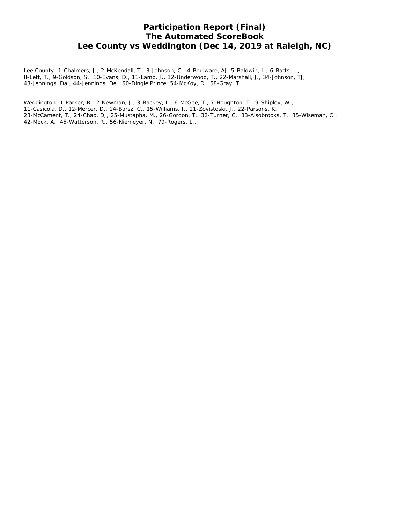# **Participation Report (Final) The Automated ScoreBook Lee County vs Weddington (Dec 14, 2019 at Raleigh, NC)**

Lee County: 1-Chalmers, J., 2-McKendall, T., 3-Johnson, C., 4-Boulware, AJ, 5-Baldwin, L., 6-Batts, J., 8-Lett, T., 9-Goldson, S., 10-Evans, D., 11-Lamb, J., 12-Underwood, T., 22-Marshall, J., 34-Johnson, TJ, 43-Jennings, Da., 44-Jennings, De., 50-Dingle Prince, 54-McKoy, D., 58-Gray, T..

Weddington: 1-Parker, B., 2-Newman, J., 3-Backey, L., 6-McGee, T., 7-Houghton, T., 9-Shipley, W., 11-Casicola, D., 12-Mercer, D., 14-Barsz, C., 15-Williams, I., 21-Zovistoski, J., 22-Parsons, K., 23-McCament, T., 24-Chao, DJ, 25-Mustapha, M., 26-Gordon, T., 32-Turner, C., 33-Alsobrooks, T., 35-Wiseman, C., 42-Mock, A., 45-Watterson, R., 56-Niemeyer, N., 79-Rogers, L..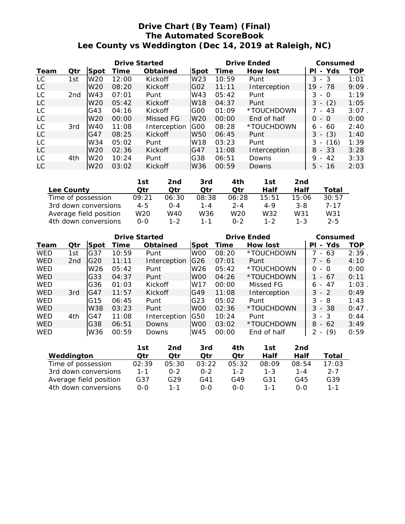# **Drive Chart (By Team) (Final) The Automated ScoreBook Lee County vs Weddington (Dec 14, 2019 at Raleigh, NC)**

|      |     |                 | <b>Drive Started</b> |              |                 | <b>Drive Ended</b> | Consumed        |                                       |      |
|------|-----|-----------------|----------------------|--------------|-----------------|--------------------|-----------------|---------------------------------------|------|
| Team | Qtr | <b>Spot</b>     | Time                 | Obtained     | Spot            | Time               | <b>How lost</b> | - Yds<br>ΡI                           | TOP  |
| LC.  | 1st | W <sub>20</sub> | 12:00                | Kickoff      | W <sub>23</sub> | 10:59              | Punt            | 3<br>$-3$                             | 1:01 |
| LC   |     | W <sub>20</sub> | 08:20                | Kickoff      | GO <sub>2</sub> | 11:11              | Interception    | 19<br>- 78                            | 9:09 |
| LC   | 2nd | W43             | 07:01                | Punt         | W43             | 05:42              | Punt            | 3<br>- 0                              | 1:19 |
| LC   |     | W <sub>20</sub> | 05:42                | Kickoff      | W <sub>18</sub> | 04:37              | Punt            | (2)<br>3<br>$\overline{\phantom{a}}$  | 1:05 |
| LC   |     | G43             | 04:16                | Kickoff      | G00             | 01:09              | *TOUCHDOWN      | - 43                                  | 3:07 |
| LC   |     | W20             | 00:00                | Missed FG    | W <sub>20</sub> | 00:00              | End of half     | $0 - 0$                               | 0:00 |
| LC   | 3rd | W40             | 11:08                | Interception | G <sub>00</sub> | 08:28              | *TOUCHDOWN      | 60<br>6.<br>$\overline{\phantom{0}}$  | 2:40 |
| LC   |     | G47             | 08:25                | Kickoff      | W <sub>50</sub> | 06:45              | Punt            | (3)<br>3                              | 1:40 |
| LC   |     | W34             | 05:02                | Punt         | W18             | 03:23              | Punt            | (16)<br>3<br>$\overline{\phantom{a}}$ | 1:39 |
| LC   |     | W <sub>20</sub> | 02:36                | Kickoff      | IG47            | 11:08              | Interception    | $8 - 33$                              | 3:28 |
| LC   | 4th | W <sub>20</sub> | 10:24                | Punt         | G38             | 06:51              | Downs           | 42<br>9<br>$\overline{\phantom{a}}$   | 3:33 |
| LC.  |     | W <sub>20</sub> | 03:02                | Kickoff      | W36             | 00:59              | Downs           | 5.<br>-16<br>$\sim$                   | 2:03 |

|                        | 1st     | 2nd     | 3rd   | 4th     | 1st     | 2nd     |         |
|------------------------|---------|---------|-------|---------|---------|---------|---------|
| Lee County             | Otr     | Otr     | Otr   | Otr     | Half    | Half    | Total   |
| Time of possession     | 09:21   | 06:30   | 08:38 | 06:28   | 15:51   | 15:06   | 30:57   |
| 3rd down conversions   | $4 - 5$ | $O - 4$ | 1-4   | $2 - 4$ | $4 - 9$ | $3 - 8$ | 7-17    |
| Average field position | W20     | W40     | W36   | W20     | W32     | W31     | W31     |
| 4th down conversions   | 0-0     | $1 - 2$ | 1 - 1 | 0-2     | $1 - 2$ | $1 - 3$ | $2 - 5$ |

|            |     |                 | <b>Drive Started</b> |              |                 | <b>Drive Ended</b> | Consumed        |                                      |      |
|------------|-----|-----------------|----------------------|--------------|-----------------|--------------------|-----------------|--------------------------------------|------|
| Team       | Qtr | Spot            | Time                 | Obtained     | Spot            | Time               | <b>How lost</b> | Yds<br>ΡI<br>$\blacksquare$          | TOP  |
| <b>WED</b> | 1st | G37             | 10:59                | Punt         | W <sub>00</sub> | 08:20              | *TOUCHDOWN      | 63<br>$\overline{\phantom{0}}$       | 2:39 |
| <b>WED</b> | 2nd | IG20            | 11:11                | Interception | G26             | 07:01              | Punt            | - 6                                  | 4:10 |
| <b>WED</b> |     | W <sub>26</sub> | 05:42                | Punt         | W <sub>26</sub> | 05:42              | *TOUCHDOWN      | 0<br>- 0                             | 0:00 |
| <b>WED</b> |     | G33             | 04:37                | Punt         | W <sub>00</sub> | 04:26              | *TOUCHDOWN      | 1<br>- 67                            | 0:11 |
| <b>WED</b> |     | G36             | 01:03                | Kickoff      | W17             | 00:00              | Missed FG       | 47<br>6<br>$\sim$                    | 1:03 |
| <b>WED</b> | 3rd | IG47            | 11:57                | Kickoff      | G49             | 11:08              | Interception    | $3 - 2$                              | 0:49 |
| <b>WED</b> |     | G15             | 06:45                | Punt         | G <sub>23</sub> | 05:02              | Punt            | 3<br>- 8                             | 1:43 |
| <b>WED</b> |     | W38             | 03:23                | Punt         | W <sub>00</sub> | 02:36              | *TOUCHDOWN      | 3<br>- 38                            | 0:47 |
| <b>WED</b> | 4th | IG47            | 11:08                | Interception | G50             | 10:24              | Punt            | 3<br>-3<br>$\overline{\phantom{a}}$  | 0:44 |
| <b>WED</b> |     | G38             | 06:51                | Downs        | W <sub>00</sub> | 03:02              | *TOUCHDOWN      | 8<br>62<br>$\sim$                    | 3:49 |
| <b>WED</b> |     | W36             | 00:59                | Downs        | W45             | 00:00              | End of half     | (9)<br>2<br>$\overline{\phantom{a}}$ | 0:59 |

|                        | 1st   | 2nd     | 3rd     | 4th     | 1st   | 2nd   |         |
|------------------------|-------|---------|---------|---------|-------|-------|---------|
| Weddington             | Otr   | Otr     | Otr     | Otr     | Half  | Half  | Total   |
| Time of possession     | 02:39 | 05:30   | 03:22   | 05:32   | 08:09 | 08:54 | 17:03   |
| 3rd down conversions   | 1-1   | $0 - 2$ | $0 - 2$ | $1 - 2$ | 1-3   | 1-4   | $2 - 7$ |
| Average field position | G37   | G29.    | G41     | G49     | G31   | G45   | G39     |
| 4th down conversions   | $O-O$ | 1 - 1   | റ-റ     | $0 - 0$ | 1 - 1 | 0-0   | $1 - 1$ |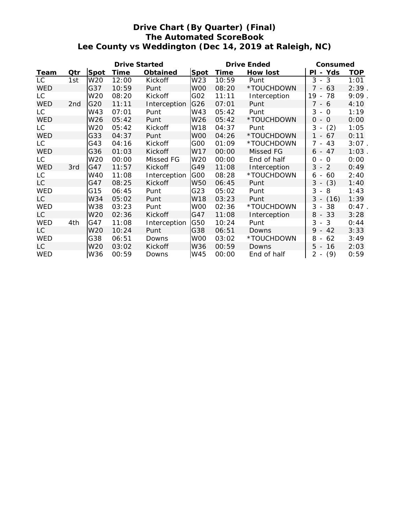# **Drive Chart (By Quarter) (Final) The Automated ScoreBook Lee County vs Weddington (Dec 14, 2019 at Raleigh, NC)**

| <b>Drive Started</b> |     |      |       |              |                 |       | <b>Drive Ended</b> | Consumed                                          |          |  |
|----------------------|-----|------|-------|--------------|-----------------|-------|--------------------|---------------------------------------------------|----------|--|
| Team                 | Qtr | Spot | Time  | Obtained     | Spot            | Time  | <b>How lost</b>    | - Yds<br>ΡI                                       | TOP      |  |
| LC                   | 1st | W20  | 12:00 | Kickoff      | W23             | 10:59 | Punt               | $3 - 3$                                           | 1:01     |  |
| <b>WED</b>           |     | G37  | 10:59 | Punt         | W <sub>00</sub> | 08:20 | *TOUCHDOWN         | 7 - 63                                            | 2:39.    |  |
| LC                   |     | W20  | 08:20 | Kickoff      | G02             | 11:11 | Interception       | 19<br>78<br>$\overline{\phantom{a}}$              | $9:09$ . |  |
| <b>WED</b>           | 2nd | G20  | 11:11 | Interception | G26             | 07:01 | Punt               | $7 - 6$                                           | 4:10     |  |
| LC                   |     | W43  | 07:01 | Punt         | W43             | 05:42 | Punt               | 3<br>$-$ 0                                        | 1:19     |  |
| <b>WED</b>           |     | W26  | 05:42 | Punt         | W26             | 05:42 | *TOUCHDOWN         | 0<br>$-0$                                         | 0:00     |  |
| LC                   |     | W20  | 05:42 | Kickoff      | W18             | 04:37 | Punt               | $3 -$<br>(2)                                      | 1:05     |  |
| <b>WED</b>           |     | G33  | 04:37 | Punt         | W <sub>00</sub> | 04:26 | *TOUCHDOWN         | $1 -$<br>67                                       | 0:11     |  |
| LC                   |     | G43  | 04:16 | Kickoff      | G00             | 01:09 | *TOUCHDOWN         | $7 -$<br>43                                       | $3:07$ . |  |
| <b>WED</b>           |     | G36  | 01:03 | Kickoff      | W17             | 00:00 | Missed FG          | 47<br>$6 -$                                       | $1:03$ . |  |
| LC                   |     | W20  | 00:00 | Missed FG    | W20             | 00:00 | End of half        | 0<br>$\Omega$<br>$\overline{\phantom{a}}$         | 0:00     |  |
| <b>WED</b>           | 3rd | G47  | 11:57 | Kickoff      | G49             | 11:08 | Interception       | $-2$<br>3                                         | 0:49     |  |
| LC                   |     | W40  | 11:08 | Interception | G00             | 08:28 | *TOUCHDOWN         | 60<br>$6 -$                                       | 2:40     |  |
| LC                   |     | G47  | 08:25 | Kickoff      | <b>W50</b>      | 06:45 | Punt               | $3 -$<br>(3)                                      | 1:40     |  |
| <b>WED</b>           |     | G15  | 06:45 | Punt         | G23             | 05:02 | Punt               | 3<br>8<br>$\overline{\phantom{a}}$                | 1:43     |  |
| LC                   |     | W34  | 05:02 | Punt         | W18             | 03:23 | Punt               | $3 -$<br>(16)                                     | 1:39     |  |
| <b>WED</b>           |     | W38  | 03:23 | Punt         | W00             | 02:36 | *TOUCHDOWN         | $3 -$<br>38                                       | $0:47$ . |  |
| LC                   |     | W20  | 02:36 | Kickoff      | G47             | 11:08 | Interception       | 8<br>$-33$                                        | 3:28     |  |
| <b>WED</b>           | 4th | G47  | 11:08 | Interception | G50             | 10:24 | Punt               | $3 - 3$                                           | 0:44     |  |
| LC                   |     | W20  | 10:24 | Punt         | G38             | 06:51 | Downs              | 42<br>9<br>$\sim$                                 | 3:33     |  |
| <b>WED</b>           |     | G38  | 06:51 | Downs        | W <sub>00</sub> | 03:02 | *TOUCHDOWN         | 8<br>62<br>$\overline{\phantom{a}}$               | 3:49     |  |
| LC                   |     | W20  | 03:02 | Kickoff      | W36             | 00:59 | Downs              | $5 -$<br>16                                       | 2:03     |  |
| <b>WED</b>           |     | W36  | 00:59 | Downs        | W45             | 00:00 | End of half        | $\overline{2}$<br>(9)<br>$\overline{\phantom{a}}$ | 0:59     |  |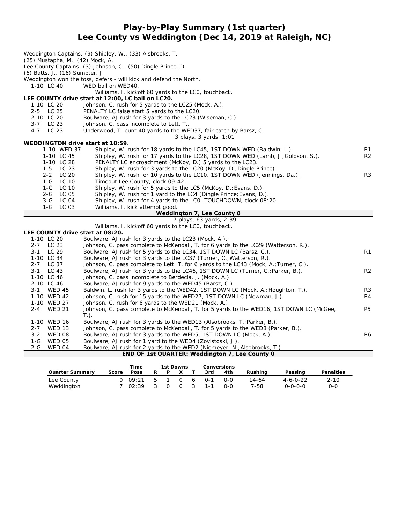# **Play-by-Play Summary (1st quarter) Lee County vs Weddington (Dec 14, 2019 at Raleigh, NC)**

| (25) Mustapha, M., (42) Mock, A.<br>(6) Batts, J., (16) Sumpter, J.<br>1-10 LC 40 | Weddington Captains: (9) Shipley, W., (33) Alsbrooks, T.<br>Lee County Captains: (3) Johnson, C., (50) Dingle Prince, D.<br>Weddington won the toss, defers - will kick and defend the North.<br>WED ball on WED40. |                |
|-----------------------------------------------------------------------------------|---------------------------------------------------------------------------------------------------------------------------------------------------------------------------------------------------------------------|----------------|
|                                                                                   | Williams, I. kickoff 60 yards to the LCO, touchback.                                                                                                                                                                |                |
|                                                                                   | LEE COUNTY drive start at 12:00, LC ball on LC20.                                                                                                                                                                   |                |
| 1-10 LC 20                                                                        | Johnson, C. rush for 5 yards to the LC25 (Mock, A.).                                                                                                                                                                |                |
| 2-5 LC 25                                                                         | PENALTY LC false start 5 yards to the LC20.                                                                                                                                                                         |                |
| 2-10 LC 20                                                                        | Boulware, AJ rush for 3 yards to the LC23 (Wiseman, C.).                                                                                                                                                            |                |
| 3-7 LC 23                                                                         | Johnson, C. pass incomplete to Lett, T                                                                                                                                                                              |                |
| 4-7 LC 23                                                                         | Underwood, T. punt 40 yards to the WED37, fair catch by Barsz, C                                                                                                                                                    |                |
|                                                                                   | 3 plays, 3 yards, 1:01                                                                                                                                                                                              |                |
| WEDDINGTON drive start at 10:59.                                                  |                                                                                                                                                                                                                     |                |
| 1-10 WED 37                                                                       | Shipley, W. rush for 18 yards to the LC45, 1ST DOWN WED (Baldwin, L.).                                                                                                                                              | R <sub>1</sub> |
| 1-10 LC 45                                                                        | Shipley, W. rush for 17 yards to the LC28, 1ST DOWN WED (Lamb, J.; Goldson, S.).                                                                                                                                    | R <sub>2</sub> |
| 1-10 LC 28                                                                        | PENALTY LC encroachment (McKoy, D.) 5 yards to the LC23.                                                                                                                                                            |                |
| 1-5 LC 23                                                                         | Shipley, W. rush for 3 yards to the LC20 (McKoy, D.; Dingle Prince).                                                                                                                                                |                |
| $2 - 2$<br>LC 20                                                                  | Shipley, W. rush for 10 yards to the LC10, 1ST DOWN WED (Jennings, Da.).                                                                                                                                            | R <sub>3</sub> |
| LC 10<br>1-G                                                                      | Timeout Lee County, clock 09:42.                                                                                                                                                                                    |                |
| 1-G LC 10                                                                         | Shipley, W. rush for 5 yards to the LC5 (McKoy, D.; Evans, D.).                                                                                                                                                     |                |
| 2-G LC 05                                                                         | Shipley, W. rush for 1 yard to the LC4 (Dingle Prince; Evans, D.).                                                                                                                                                  |                |
| 3-G LC 04                                                                         | Shipley, W. rush for 4 yards to the LCO, TOUCHDOWN, clock 08:20.                                                                                                                                                    |                |
| 1-G LC 03                                                                         | Williams, I. kick attempt good.                                                                                                                                                                                     |                |
|                                                                                   | Weddington 7, Lee County 0                                                                                                                                                                                          |                |
|                                                                                   | 7 plays, 63 yards, 2:39                                                                                                                                                                                             |                |
|                                                                                   | Williams, I. kickoff 60 yards to the LCO, touchback.                                                                                                                                                                |                |
| LEE COUNTY drive start at 08:20.                                                  |                                                                                                                                                                                                                     |                |
| 1-10 LC 20                                                                        | Boulware, AJ rush for 3 yards to the LC23 (Mock, A.).                                                                                                                                                               |                |
| 2-7 LC 23                                                                         | Johnson, C. pass complete to McKendall, T. for 6 yards to the LC29 (Watterson, R.).                                                                                                                                 |                |
| 3-1 LC 29                                                                         | Boulware, AJ rush for 5 yards to the LC34, 1ST DOWN LC (Barsz, C.).                                                                                                                                                 | R1             |
| 1-10 LC 34                                                                        | Boulware, AJ rush for 3 yards to the LC37 (Turner, C.; Watterson, R.).                                                                                                                                              |                |
| 2-7 LC 37                                                                         | Johnson, C. pass complete to Lett, T. for 6 yards to the LC43 (Mock, A.; Turner, C.).                                                                                                                               |                |
| 3-1 LC 43                                                                         | Boulware, AJ rush for 3 yards to the LC46, 1ST DOWN LC (Turner, C.; Parker, B.).                                                                                                                                    | R <sub>2</sub> |
| 1-10 LC 46                                                                        | Johnson, C. pass incomplete to Berdecia, J. (Mock, A.).                                                                                                                                                             |                |
| 2-10 LC 46                                                                        | Boulware, AJ rush for 9 yards to the WED45 (Barsz, C.).                                                                                                                                                             | R <sub>3</sub> |
| 3-1 WED 45<br>1-10 WED 42                                                         | Baldwin, L. rush for 3 yards to the WED42, 1ST DOWN LC (Mock, A.; Houghton, T.).                                                                                                                                    |                |
|                                                                                   | Johnson, C. rush for 15 yards to the WED27, 1ST DOWN LC (Newman, J.).                                                                                                                                               | R4             |
| 1-10 WED 27<br>2-4<br><b>WED 21</b>                                               | Johnson, C. rush for 6 yards to the WED21 (Mock, A.).<br>Johnson, C. pass complete to McKendall, T. for 5 yards to the WED16, 1ST DOWN LC (McGee,                                                                   | P <sub>5</sub> |
|                                                                                   | $T.$ ).                                                                                                                                                                                                             |                |
| 1-10 WED 16                                                                       | Boulware, AJ rush for 3 yards to the WED13 (Alsobrooks, T.; Parker, B.).                                                                                                                                            |                |
| $2 - 7$<br><b>WED 13</b>                                                          | Johnson, C. pass complete to McKendall, T. for 5 yards to the WED8 (Parker, B.).                                                                                                                                    |                |
| $3 - 2$<br>WED 08                                                                 | Boulware, AJ rush for 3 yards to the WED5, 1ST DOWN LC (Mock, A.).                                                                                                                                                  | R6             |
| $1-G$<br><b>WED 05</b>                                                            | Boulware, AJ rush for 1 yard to the WED4 (Zovistoski, J.).                                                                                                                                                          |                |
|                                                                                   |                                                                                                                                                                                                                     |                |

2-G WED 04 Boulware, AJ rush for 2 yards to the WED2 (Niemeyer, N.;Alsobrooks, T.). **END OF 1st QUARTER: Weddington 7, Lee County 0**

|                        |       | Time            |      |          | 1st Downs      |      |         | Conversions |         |                 |                  |
|------------------------|-------|-----------------|------|----------|----------------|------|---------|-------------|---------|-----------------|------------------|
| <b>Quarter Summary</b> | Score | <b>Poss</b>     | R    |          |                |      | 3rd     | 4th         | Rushina | Passing         | <b>Penalties</b> |
| Lee County             |       | $0 \quad 09:21$ | 5    |          | <sup>O</sup>   | 6    | ∩-1     | $O-O$       | 14-64   | 4-6-0-22        | $2 - 10$         |
| Weddington             |       | 702:39          | - 3- | <u>ດ</u> | $\overline{0}$ | - 3- | $1 - 1$ | റ-റ         | 7-58    | $0 - 0 - 0 - 0$ | 0-0              |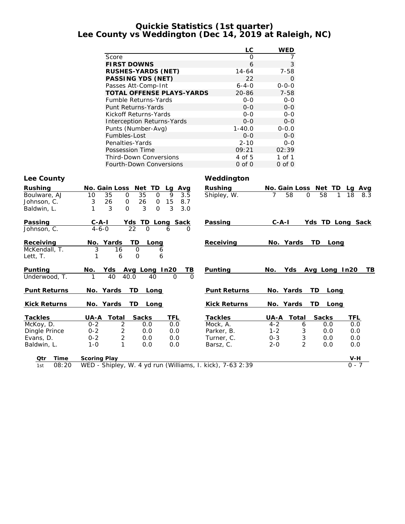# **Quickie Statistics (1st quarter) Lee County vs Weddington (Dec 14, 2019 at Raleigh, NC)**

|                                   | LC          | WED         |
|-----------------------------------|-------------|-------------|
| Score                             | O           |             |
| <b>FIRST DOWNS</b>                | 6           | 3           |
| <b>RUSHES-YARDS (NET)</b>         | $14 - 64$   | $7 - 58$    |
| <b>PASSING YDS (NET)</b>          | 22          | O           |
| Passes Att-Comp-Int               | $6 - 4 - 0$ | $0 - 0 - 0$ |
| <b>TOTAL OFFENSE PLAYS-YARDS</b>  | 20-86       | $7 - 58$    |
| <b>Fumble Returns-Yards</b>       | $0 - 0$     | $0 - 0$     |
| Punt Returns-Yards                | $0 - 0$     | $0 - 0$     |
| Kickoff Returns-Yards             | $0 - 0$     | $0 - 0$     |
| <b>Interception Returns-Yards</b> | $0 - 0$     | $0 - 0$     |
| Punts (Number-Avg)                | $1 - 40.0$  | $0 - 0.0$   |
| Fumbles-Lost                      | $0 - 0$     | $0 - 0$     |
| Penalties-Yards                   | $2 - 10$    | $0 - 0$     |
| Possession Time                   | 09:21       | 02:39       |
| <b>Third-Down Conversions</b>     | 4 of 5      | 1 of 1      |
| Fourth-Down Conversions           | 0 of 0      | $0$ of $0$  |

# Lee County **County County County Weddington**

| <b>Rushing</b>      | <b>No. Gain Loss</b><br><b>Net</b><br><b>TD</b><br>Avg<br>Lg | <b>Rushing</b>      | No. Gain Loss<br>Net TD          | Avg<br>Lg |
|---------------------|--------------------------------------------------------------|---------------------|----------------------------------|-----------|
| Boulware, AJ        | 35<br>35<br>3.5<br>$\Omega$<br>$\Omega$<br>9<br>10           | Shipley, W.         | 58<br>58<br>7<br>$\Omega$        | 18<br>8.3 |
| Johnson, C.         | 26<br>15<br>3<br>26<br>8.7<br>0<br>$\circ$                   |                     |                                  |           |
| Baldwin, L.         | 3<br>$\mathbf{O}$<br>3<br>3<br>$\mathbf 0$<br>3.0            |                     |                                  |           |
| Passing             | TD Long<br>Sack<br>$C - A - I$<br>Yds                        | Passing             | $C - A - I$<br>Yds TD Long Sack  |           |
| Johnson, C.         | 22<br>$4 - 6 - 0$<br>$\mathbf 0$<br>0<br>6                   |                     |                                  |           |
| Receiving           | TD<br>No. Yards<br>Long                                      | Receiving           | No. Yards<br>TD.<br>Long         |           |
| McKendall, T.       | 3<br>$\Omega$<br>16<br>6                                     |                     |                                  |           |
| Lett, T.            | O<br>6<br>6                                                  |                     |                                  |           |
| Punting             | Avg Long In20<br>No.<br>Yds<br>TВ                            | Punting             | Yds<br>Avg Long In20<br>No.      | TВ        |
| Underwood, T.       | 40<br>$\mathbf{O}$<br>$\Omega$<br>40.0<br>40                 |                     |                                  |           |
| <b>Punt Returns</b> | TD<br>No. Yards<br>Long                                      | <b>Punt Returns</b> | No. Yards<br>TD<br>Long          |           |
| <b>Kick Returns</b> | No. Yards<br>TD.<br>Long                                     | <b>Kick Returns</b> | No. Yards<br>TD<br>Long          |           |
| <b>Tackles</b>      | <b>Sacks</b><br>TFL<br>UA-A<br>Total                         | <b>Tackles</b>      | Total<br><b>Sacks</b><br>UA-A    | TFL       |
| McKoy, D.           | $\overline{2}$<br>$0 - 2$<br>0.0<br>0.0                      | Mock, A.            | $4 - 2$<br>0.0<br>6              | 0.0       |
| Dingle Prince       | 2<br>$0 - 2$<br>0.0<br>0.0                                   | Parker, B.          | 3<br>$1 - 2$<br>0.0              | 0.0       |
| Evans, D.           | $\overline{c}$<br>$0 - 2$<br>0.0<br>0.0                      | Turner, C.          | 3<br>$0 - 3$<br>0.0              | 0.0       |
| Baldwin, L.         | 1<br>0.0<br>0.0<br>$1 - 0$                                   | Barsz, C.           | $\overline{2}$<br>$2 - 0$<br>0.0 | 0.0       |
| Time<br>Qtr         | <b>Scoring Play</b>                                          |                     |                                  | V-H       |
| 08:20<br>1st        | WED - Shipley, W. 4 yd run (Williams, I. kick), 7-63 2:39    |                     |                                  | $0 - 7$   |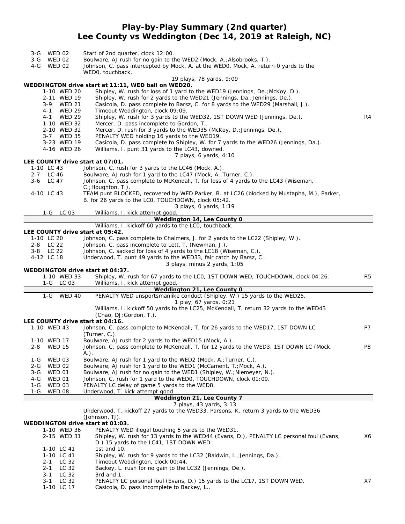# **Play-by-Play Summary (2nd quarter) Lee County vs Weddington (Dec 14, 2019 at Raleigh, NC)**

| 3-G WED 02<br>3-G WED 02                        | Start of 2nd quarter, clock 12:00.<br>Boulware, AJ rush for no gain to the WED2 (Mock, A.; Alsobrooks, T.).                                    |                |
|-------------------------------------------------|------------------------------------------------------------------------------------------------------------------------------------------------|----------------|
| 4-G WED 02                                      | Johnson, C. pass intercepted by Mock, A. at the WEDO, Mock, A. return 0 yards to the                                                           |                |
|                                                 | WEDO, touchback.<br>19 plays, 78 yards, 9:09                                                                                                   |                |
|                                                 | WEDDINGTON drive start at 11:11, WED ball on WED20.                                                                                            |                |
| 1-10 WED 20                                     | Shipley, W. rush for loss of 1 yard to the WED19 (Jennings, De.; McKoy, D.).                                                                   |                |
| 2-11 WED 19                                     | Shipley, W. rush for 2 yards to the WED21 (Jennings, Da.; Jennings, De.).                                                                      |                |
| $3-9$<br><b>WED 21</b>                          | Casicola, D. pass complete to Barsz, C. for 8 yards to the WED29 (Marshall, J.).                                                               |                |
| <b>WED 29</b><br>4-1                            | Timeout Weddington, clock 09:09.                                                                                                               |                |
| <b>WED 29</b><br>$4 - 1$                        | Shipley, W. rush for 3 yards to the WED32, 1ST DOWN WED (Jennings, De.).                                                                       | R4             |
| 1-10 WED 32<br>2-10 WED 32                      | Mercer, D. pass incomplete to Gordon, T<br>Mercer, D. rush for 3 yards to the WED35 (McKoy, D.; Jennings, De.).                                |                |
| 3-7 WED 35                                      | PENALTY WED holding 16 yards to the WED19.                                                                                                     |                |
| 3-23 WED 19                                     | Casicola, D. pass complete to Shipley, W. for 7 yards to the WED26 (Jennings, Da.).                                                            |                |
| 4-16 WED 26                                     | Williams, I. punt 31 yards to the LC43, downed.                                                                                                |                |
|                                                 | 7 plays, 6 yards, 4:10                                                                                                                         |                |
| LEE COUNTY drive start at 07:01.                |                                                                                                                                                |                |
| 1-10 LC 43                                      | Johnson, C. rush for 3 yards to the LC46 (Mock, A.).                                                                                           |                |
| 2-7 LC 46                                       | Boulware, AJ rush for 1 yard to the LC47 (Mock, A.; Turner, C.).                                                                               |                |
| 3-6 LC 47                                       | Johnson, C. pass complete to McKendall, T. for loss of 4 yards to the LC43 (Wiseman,<br>$C$ .; Houghton, T.).                                  |                |
| 4-10 LC 43                                      | TEAM punt BLOCKED, recovered by WED Parker, B. at LC26 (blocked by Mustapha, M.), Parker,                                                      |                |
|                                                 | B. for 26 yards to the LCO, TOUCHDOWN, clock 05:42.                                                                                            |                |
|                                                 | 3 plays, 0 yards, 1:19                                                                                                                         |                |
| 1-G LC 03                                       | Williams, I. kick attempt good.                                                                                                                |                |
|                                                 | Weddington 14, Lee County 0                                                                                                                    |                |
| LEE COUNTY drive start at 05:42.                | Williams, I. kickoff 60 yards to the LCO, touchback.                                                                                           |                |
| 1-10 LC 20                                      | Johnson, C. pass complete to Chalmers, J. for 2 yards to the LC22 (Shipley, W.).                                                               |                |
| 2-8 LC 22                                       | Johnson, C. pass incomplete to Lett, T. (Newman, J.).                                                                                          |                |
| 3-8 LC 22                                       | Johnson, C. sacked for loss of 4 yards to the LC18 (Wiseman, C.).                                                                              |                |
| 4-12 LC 18                                      | Underwood, T. punt 49 yards to the WED33, fair catch by Barsz, C                                                                               |                |
|                                                 | 3 plays, minus 2 yards, 1:05                                                                                                                   |                |
|                                                 |                                                                                                                                                |                |
| WEDDINGTON drive start at 04:37.                |                                                                                                                                                |                |
| 1-10 WED 33                                     | Shipley, W. rush for 67 yards to the LCO, 1ST DOWN WED, TOUCHDOWN, clock 04:26.                                                                | R <sub>5</sub> |
| 1-G LC 03                                       | Williams, I. kick attempt good.                                                                                                                |                |
| $1-G$<br><b>WED 40</b>                          | Weddington 21, Lee County 0<br>PENALTY WED unsportsmanlike conduct (Shipley, W.) 15 yards to the WED25.                                        |                |
|                                                 | 1 play, 67 yards, 0:21                                                                                                                         |                |
|                                                 | Williams, I. kickoff 50 yards to the LC25, McKendall, T. return 32 yards to the WED43                                                          |                |
|                                                 | (Chao, DJ; Gordon, T.).                                                                                                                        |                |
| LEE COUNTY drive start at 04:16.                |                                                                                                                                                |                |
| 1-10 WED 43                                     | Johnson, C. pass complete to McKendall, T. for 26 yards to the WED17, 1ST DOWN LC                                                              | P7             |
| 1-10 WED 17                                     | (Turner, C.).<br>Boulware, AJ rush for 2 yards to the WED15 (Mock, A.).                                                                        |                |
| 2-8 WED 15                                      | Johnson, C. pass complete to McKendall, T. for 12 yards to the WED3, 1ST DOWN LC (Mock,                                                        | P8             |
|                                                 | A.).                                                                                                                                           |                |
| WED 03<br>1-G                                   | Boulware, AJ rush for 1 yard to the WED2 (Mock, A.; Turner, C.).                                                                               |                |
| <b>WED 02</b><br>2-G                            | Boulware, AJ rush for 1 yard to the WED1 (McCament, T.; Mock, A.).                                                                             |                |
| $3-G$<br>WED 01                                 | Boulware, AJ rush for no gain to the WED1 (Shipley, W.; Niemeyer, N.).                                                                         |                |
| 4-G<br>WED 01                                   | Johnson, C. rush for 1 yard to the WED0, TOUCHDOWN, clock 01:09.                                                                               |                |
| WED 03<br>1-G<br>$1-G$<br><b>WED 08</b>         | PENALTY LC delay of game 5 yards to the WED8.<br>Underwood, T. kick attempt good.                                                              |                |
|                                                 | <b>Weddington 21, Lee County 7</b>                                                                                                             |                |
|                                                 | 7 plays, 43 yards, 3:13                                                                                                                        |                |
|                                                 | Underwood, T. kickoff 27 yards to the WED33, Parsons, K. return 3 yards to the WED36                                                           |                |
|                                                 | (Johnson, TJ).                                                                                                                                 |                |
| WEDDINGTON drive start at 01:03.<br>1-10 WED 36 |                                                                                                                                                |                |
| 2-15 WED 31                                     | PENALTY WED illegal touching 5 yards to the WED31.<br>Shipley, W. rush for 13 yards to the WED44 (Evans, D.), PENALTY LC personal foul (Evans, | X6             |
|                                                 | D.) 15 yards to the LC41, 1ST DOWN WED.                                                                                                        |                |
| 1-10 LC 41                                      | 1st and 10.                                                                                                                                    |                |
| 1-10 LC 41                                      | Shipley, W. rush for 9 yards to the LC32 (Baldwin, L.; Jennings, Da.).                                                                         |                |
| 2-1 LC 32                                       | Timeout Weddington, clock 00:44.                                                                                                               |                |
| LC 32<br>$2 - 1$                                | Backey, L. rush for no gain to the LC32 (Jennings, De.).                                                                                       |                |
| $3 - 1$<br>LC 32<br>3-1<br>LC 32                | 3rd and 1.<br>PENALTY LC personal foul (Evans, D.) 15 yards to the LC17, 1ST DOWN WED.                                                         | X7             |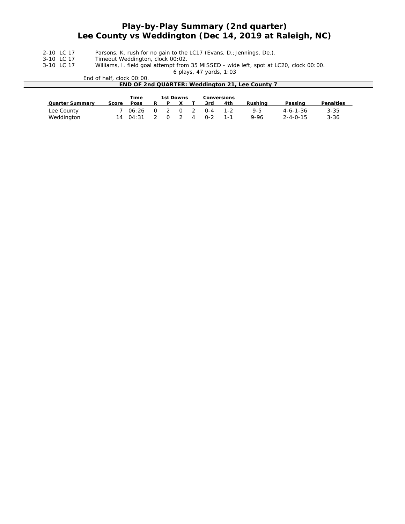# **Play-by-Play Summary (2nd quarter) Lee County vs Weddington (Dec 14, 2019 at Raleigh, NC)**

| 2-10 LC 17 |  | Parsons, K. rush for no gain to the LC17 (Evans, D.; Jennings, De.). |  |
|------------|--|----------------------------------------------------------------------|--|
|            |  |                                                                      |  |

- 3-10 LC 17 Timeout Weddington, clock 00:02.<br>3-10 LC 17 Williams, I. field goal attempt from
	- Williams, I. field goal attempt from 35 MISSED wide left, spot at LC20, clock 00:00.

*6 plays, 47 yards, 1:03*

### End of half, clock 00:00. **END OF 2nd QUARTER: Weddington 21, Lee County 7**

|                        |       | Time        |    | 1st Downs |                |       | Conversions |         |                  |           |
|------------------------|-------|-------------|----|-----------|----------------|-------|-------------|---------|------------------|-----------|
| <b>Quarter Summary</b> | Score | <b>Poss</b> | -R | P         |                | 3rd   | 4th         | Rushina | Passing          | Penalties |
| Lee County             |       | 06:26 0     |    | , 2 0 2   |                | $O-4$ | - 1-2       | 9-5     | $4 - 6 - 1 - 36$ | $3 - 35$  |
| Weddington             |       | 14 04:31 2  |    | $\Omega$  | $\overline{4}$ | በ-2   | $1 - 1$     | 9-96    | $2 - 4 - 0 - 15$ | $3 - 36$  |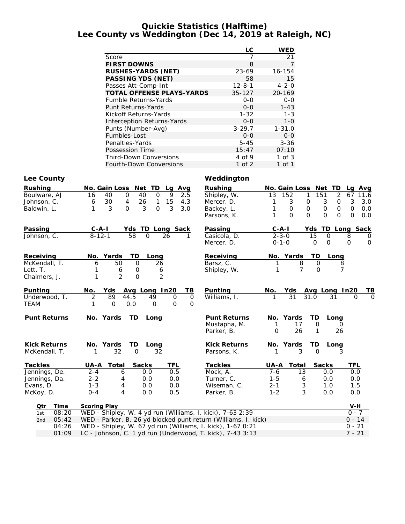# **Quickie Statistics (Halftime) Lee County vs Weddington (Dec 14, 2019 at Raleigh, NC)**

|                                   | LC           | <b>WED</b>  |
|-----------------------------------|--------------|-------------|
| Score                             | 7            | 21          |
| <b>FIRST DOWNS</b>                | 8            | 7           |
| <b>RUSHES-YARDS (NET)</b>         | 23-69        | 16-154      |
| <b>PASSING YDS (NET)</b>          | 58           | 15          |
| Passes Att-Comp-Int               | $12 - 8 - 1$ | $4 - 2 - 0$ |
| <b>TOTAL OFFENSE PLAYS-YARDS</b>  | $35 - 127$   | 20-169      |
| Fumble Returns-Yards              | $0 - 0$      | $0 - 0$     |
| Punt Returns-Yards                | $0 - 0$      | $1 - 43$    |
| Kickoff Returns-Yards             | $1 - 32$     | $1 - 3$     |
| <b>Interception Returns-Yards</b> | $0 - 0$      | $1 - 0$     |
| Punts (Number-Avg)                | $3 - 29.7$   | $1 - 31.0$  |
| Fumbles-Lost                      | $0 - 0$      | $0 - 0$     |
| Penalties-Yards                   | $5 - 45$     | $3 - 36$    |
| Possession Time                   | 15:47        | 07:10       |
| <b>Third-Down Conversions</b>     | 4 of 9       | $1$ of $3$  |
| <b>Fourth-Down Conversions</b>    | 1 of $2$     | 1 of 1      |

### Lee County **County Weddington**

| <b>Rushing</b>      | No. Gain Loss Net TD<br>Lg Avg                                           | <b>Rushing</b>      | No. Gain Loss Net TD |                                           | Lg Avg                     |
|---------------------|--------------------------------------------------------------------------|---------------------|----------------------|-------------------------------------------|----------------------------|
| Boulware, AJ        | 40<br>$\overline{0}$<br>40<br>$\mathbf 0$<br>$\overline{9}$<br>16<br>2.5 | Shipley, W.         | 152<br>13            | 151<br>$\overline{2}$<br>$\mathbf{1}$     | 67<br>11.6                 |
| Johnson, C.         | 30<br>15<br>26<br>4<br>$\mathbf{1}$<br>4.3<br>6                          | Mercer, D.          | 1<br>3               | $\mathsf O$<br>3<br>$\mathbf 0$           | $\mathfrak{Z}$<br>3.0      |
| Baldwin, L.         | $\mathsf{O}$<br>3<br>$\Omega$<br>3<br>3<br>3.0<br>1                      | Backey, L.          | 1<br>$\mathsf O$     | $\mathsf O$<br>$\mathsf O$<br>$\mathsf O$ | $\mathsf{O}$<br>0.0        |
|                     |                                                                          | Parsons, K.         | 1<br>$\Omega$        | $\mathbf{O}$<br>$\Omega$<br>$\Omega$      | $\mathsf{O}$<br>0.0        |
| <b>Passing</b>      | $C - A - I$<br>Yds TD Long Sack                                          | Passing             | $C-A-I$              | Yds TD Long Sack                          |                            |
| Johnson, C.         | $8 - 12 - 1$<br>58<br>$\Omega$<br>26<br>1                                | Casicola, D.        | $2 - 3 - 0$          | 15<br>$\Omega$                            | 8<br>0                     |
|                     |                                                                          | Mercer, D.          | $0 - 1 - 0$          | $\mathsf{O}$<br>$\mathsf{O}$              | $\mathbf 0$<br>$\mathbf 0$ |
| Receiving           | No. Yards<br><b>TD</b><br>Long                                           | Receiving           | No. Yards            | TD<br>Long                                |                            |
| McKendall, T.       | 50<br>$\mathbf{O}$<br>6<br>26                                            | Barsz, C.           | $\overline{8}$<br>1  | $\mathbf 0$                               | 8                          |
| Lett, T.            | 6<br>0<br>6<br>1                                                         | Shipley, W.         | $\overline{7}$<br>1  | $\Omega$                                  | $\overline{7}$             |
| Chalmers, J.        | $\overline{2}$<br>$\overline{2}$<br>$\mathsf{O}$<br>1                    |                     |                      |                                           |                            |
| Punting             | Yds Avg Long In20<br>No.<br>TВ                                           | <b>Punting</b>      | <b>Yds</b><br>No.    | Avg Long In20                             | ΤВ                         |
| Underwood, T.       | $\overline{2}$<br>89<br>$\overline{0}$<br>44.5<br>49<br>$\mathsf{O}$     | Williams, I.        | $\overline{31}$      | 31.0<br>31                                | 0<br>Ο                     |
| TEAM                | 0.0<br>$\Omega$<br>$\mathbf 0$<br>1<br>$\mathbf 0$<br>$\mathbf 0$        |                     |                      |                                           |                            |
| <b>Punt Returns</b> | No. Yards<br>TD<br>Long                                                  | <b>Punt Returns</b> | No. Yards            | <b>TD</b><br>Long                         |                            |
|                     |                                                                          | Mustapha, M.        | 17<br>1              | 0                                         | 0                          |
|                     |                                                                          | Parker, B.          | 26<br>$\mathbf 0$    | $\mathbf{1}$<br>26                        |                            |
| <b>Kick Returns</b> | No. Yards<br>TD.<br>Long                                                 | <b>Kick Returns</b> | No. Yards            | TD<br>Long                                |                            |
| McKendall, T.       | 32<br>32<br>$\Omega$<br>1                                                | Parsons, K.         | 3                    | $\Omega$                                  |                            |
| <b>Tackles</b>      | <b>UA-A Total</b><br><b>Sacks</b><br>TFL                                 | <b>Tackles</b>      | UA-A<br>Total        | <b>Sacks</b>                              | <b>TFL</b>                 |
| Jennings, De.       | $2 - 4$<br>6<br>0.5<br>0.0                                               | Mock, A.            | $7 - 6$<br>13        | 0.0                                       | 0.0                        |
| Jennings, Da.       | $2 - 2$<br>0.0<br>0.0<br>4                                               | Turner, C.          | $1 - 5$              | 0.0<br>6                                  | 0.0                        |
| Evans, D.           | $1 - 3$<br>0.0<br>4<br>0.0                                               | Wiseman, C.         | $2 - 1$              | 3<br>1.0                                  | 1.5                        |
| McKoy, D.           | $0 - 4$<br>$\overline{4}$<br>0.0<br>0.5                                  | Parker, B.          | $1 - 2$              | 3<br>0.0                                  | 0.0                        |
| Time<br>Qtr         | <b>Scoring Play</b>                                                      |                     |                      |                                           | $V-H$                      |
| 08:20<br>1st        | WED - Shipley, W. 4 yd run (Williams, I. kick), 7-63 2:39                |                     |                      |                                           | $0 - 7$                    |
| 05:42<br>2nd        | WED - Parker, B. 26 yd blocked punt return (Williams, I. kick)           |                     |                      |                                           | $0 - 14$                   |
| 04:26               | WED - Shipley, W. 67 yd run (Williams, I. kick), 1-67 0:21               |                     |                      |                                           | $0 - 21$                   |
| 01:09               | LC - Johnson, C. 1 yd run (Underwood, T. kick), 7-43 3:13                |                     |                      |                                           | $7 - 21$                   |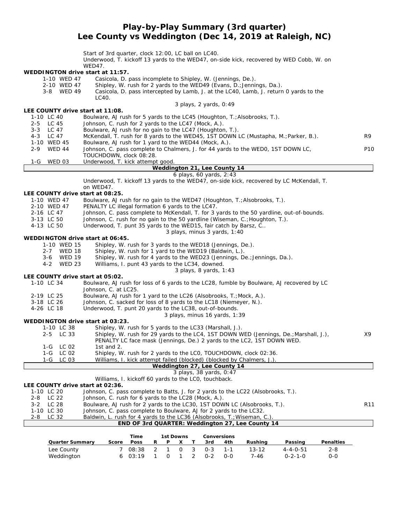# **Play-by-Play Summary (3rd quarter) Lee County vs Weddington (Dec 14, 2019 at Raleigh, NC)**

|                                  | Start of 3rd quarter, clock 12:00, LC ball on LC40.                                                                                  |                 |
|----------------------------------|--------------------------------------------------------------------------------------------------------------------------------------|-----------------|
|                                  | Underwood, T. kickoff 13 yards to the WED47, on-side kick, recovered by WED Cobb, W. on                                              |                 |
| WEDDINGTON drive start at 11:57. | WED47.                                                                                                                               |                 |
| 1-10 WED 47                      | Casicola, D. pass incomplete to Shipley, W. (Jennings, De.).                                                                         |                 |
| 2-10 WED 47                      | Shipley, W. rush for 2 yards to the WED49 (Evans, D.; Jennings, Da.).                                                                |                 |
| 3-8 WED 49                       | Casicola, D. pass intercepted by Lamb, J. at the LC40, Lamb, J. return 0 yards to the                                                |                 |
|                                  | LC40.                                                                                                                                |                 |
|                                  | 3 plays, 2 yards, 0:49                                                                                                               |                 |
| LEE COUNTY drive start at 11:08. |                                                                                                                                      |                 |
| 1-10 LC 40                       | Boulware, AJ rush for 5 yards to the LC45 (Houghton, T.; Alsobrooks, T.).                                                            |                 |
| 2-5 LC 45                        | Johnson, C. rush for 2 yards to the LC47 (Mock, A.).                                                                                 |                 |
| 3-3 LC 47                        | Boulware, AJ rush for no gain to the LC47 (Houghton, T.).                                                                            |                 |
| 4-3 LC 47                        | McKendall, T. rush for 8 yards to the WED45, 1ST DOWN LC (Mustapha, M.; Parker, B.).                                                 | R9              |
| 1-10 WED 45                      | Boulware, AJ rush for 1 yard to the WED44 (Mock, A.).                                                                                |                 |
| $2 - 9$<br><b>WED 44</b>         | Johnson, C. pass complete to Chalmers, J. for 44 yards to the WED0, 1ST DOWN LC,                                                     | P <sub>10</sub> |
|                                  | TOUCHDOWN, clock 08:28.                                                                                                              |                 |
| 1-G<br>WED 03                    | Underwood, T. kick attempt good.<br>Weddington 21, Lee County 14                                                                     |                 |
|                                  | 6 plays, 60 yards, 2:43                                                                                                              |                 |
|                                  | Underwood, T. kickoff 13 yards to the WED47, on-side kick, recovered by LC McKendall, T.                                             |                 |
|                                  | on WED47.                                                                                                                            |                 |
| LEE COUNTY drive start at 08:25. |                                                                                                                                      |                 |
| 1-10 WED 47                      | Boulware, AJ rush for no gain to the WED47 (Houghton, T.; Alsobrooks, T.).                                                           |                 |
| 2-10 WED 47                      | PENALTY LC illegal formation 6 yards to the LC47.                                                                                    |                 |
| 2-16 LC 47                       | Johnson, C. pass complete to McKendall, T. for 3 yards to the 50 yardline, out-of-bounds.                                            |                 |
| 3-13 LC 50                       | Johnson, C. rush for no gain to the 50 yardline (Wiseman, C.; Houghton, T.).                                                         |                 |
| 4-13 LC 50                       | Underwood, T. punt 35 yards to the WED15, fair catch by Barsz, C                                                                     |                 |
|                                  | 3 plays, minus 3 yards, 1:40                                                                                                         |                 |
| WEDDINGTON drive start at 06:45. |                                                                                                                                      |                 |
| 1-10 WED 15                      | Shipley, W. rush for 3 yards to the WED18 (Jennings, De.).                                                                           |                 |
| 2-7 WED 18<br><b>WED 19</b>      | Shipley, W. rush for 1 yard to the WED19 (Baldwin, L.).<br>Shipley, W. rush for 4 yards to the WED23 (Jennings, De.; Jennings, Da.). |                 |
| 3-6<br>4-2 WED 23                | Williams, I. punt 43 yards to the LC34, downed.                                                                                      |                 |
|                                  | 3 plays, 8 yards, 1:43                                                                                                               |                 |
| LEE COUNTY drive start at 05:02. |                                                                                                                                      |                 |
| 1-10 LC 34                       | Boulware, AJ rush for loss of 6 yards to the LC28, fumble by Boulware, AJ recovered by LC                                            |                 |
|                                  | Johnson, C. at LC25.                                                                                                                 |                 |
| 2-19 LC 25                       | Boulware, AJ rush for 1 yard to the LC26 (Alsobrooks, T.; Mock, A.).                                                                 |                 |
| 3-18 LC 26                       | Johnson, C. sacked for loss of 8 yards to the LC18 (Niemeyer, N.).                                                                   |                 |
| 4-26 LC 18                       | Underwood, T. punt 20 yards to the LC38, out-of-bounds.                                                                              |                 |
|                                  | 3 plays, minus 16 yards, 1:39                                                                                                        |                 |
| WEDDINGTON drive start at 03:23. |                                                                                                                                      |                 |
| 1-10 LC 38                       | Shipley, W. rush for 5 yards to the LC33 (Marshall, J.).                                                                             |                 |
| 2-5 LC 33                        | Shipley, W. rush for 29 yards to the LC4, 1ST DOWN WED (Jennings, De.; Marshall, J.),                                                | X9              |
| 1-G LC 02                        | PENALTY LC face mask (Jennings, De.) 2 yards to the LC2, 1ST DOWN WED.<br>1st and 2.                                                 |                 |
| 1-G LC 02                        | Shipley, W. rush for 2 yards to the LCO, TOUCHDOWN, clock 02:36.                                                                     |                 |
| 1-G<br>LC 03                     | Williams, I. kick attempt failed (blocked) (blocked by Chalmers, J.)                                                                 |                 |
|                                  | Weddington 27, Lee County 14                                                                                                         |                 |
|                                  | 3 plays, 38 yards, 0:47                                                                                                              |                 |
|                                  | Williams, I. kickoff 60 yards to the LCO, touchback.                                                                                 |                 |
| LEE COUNTY drive start at 02:36. |                                                                                                                                      |                 |
| 1-10 LC 20                       | Johnson, C. pass complete to Batts, J. for 2 yards to the LC22 (Alsobrooks, T.).                                                     |                 |
| LC 22<br>2-8                     | Johnson, C. rush for 6 yards to the LC28 (Mock, A.).                                                                                 |                 |
| LC 28<br>$3 - 2$                 | Boulware, AJ rush for 2 yards to the LC30, 1ST DOWN LC (Alsobrooks, T.).                                                             | R11             |
| 1-10 LC 30                       | Johnson, C. pass complete to Boulware, AJ for 2 yards to the LC32.                                                                   |                 |
| $2 - 8$<br>LC 32                 | Baldwin, L. rush for 4 yards to the LC36 (Alsobrooks, T.; Wiseman, C.).                                                              |                 |
|                                  | END OF 3rd QUARTER: Weddington 27, Lee County 14                                                                                     |                 |
|                                  | 1st Downs<br>Time<br>Conversions                                                                                                     |                 |
|                                  |                                                                                                                                      |                 |

|                        |       | ппе                     | ISL DOWNS |  |          | <b>CONVERSIONS</b> |         |                  |                  |
|------------------------|-------|-------------------------|-----------|--|----------|--------------------|---------|------------------|------------------|
| <b>Quarter Summary</b> | Score | Poss                    |           |  | RPXT 3rd | 4th                | Rushina | Passing          | <b>Penalties</b> |
| Lee County             |       | 7 08:38 2 1 0 3 0-3 1-1 |           |  |          |                    | 13-12   | $4 - 4 - 0 - 51$ | $2 - 8$          |
| Weddington             |       | 6 03:19 1 0 1 2 0-2 0-0 |           |  |          |                    | 7-46    | 0-2-1-0          | 0-0              |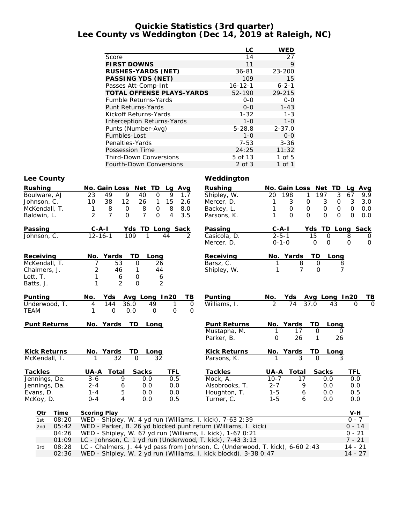# **Quickie Statistics (3rd quarter) Lee County vs Weddington (Dec 14, 2019 at Raleigh, NC)**

|                                   | LC            | WED         |
|-----------------------------------|---------------|-------------|
| Score                             | 14            | 27          |
| <b>FIRST DOWNS</b>                | 11            | 9           |
| <b>RUSHES-YARDS (NET)</b>         | $36 - 81$     | 23-200      |
| <b>PASSING YDS (NET)</b>          | 109           | 15          |
| Passes Att-Comp-Int               | $16 - 12 - 1$ | $6 - 2 - 1$ |
| <b>TOTAL OFFENSE PLAYS-YARDS</b>  | 52-190        | 29-215      |
| <b>Fumble Returns-Yards</b>       | $0 - 0$       | $0 - 0$     |
| Punt Returns-Yards                | $0 - 0$       | $1 - 43$    |
| Kickoff Returns-Yards             | $1 - 32$      | $1 - 3$     |
| <b>Interception Returns-Yards</b> | $1 - 0$       | $1 - 0$     |
| Punts (Number-Avg)                | $5 - 28.8$    | $2 - 37.0$  |
| Fumbles-Lost                      | $1 - 0$       | $0 - 0$     |
| Penalties-Yards                   | $7 - 53$      | $3 - 36$    |
| Possession Time                   | 24:25         | 11:32       |
| <b>Third-Down Conversions</b>     | 5 of 13       | $1$ of $5$  |
| Fourth-Down Conversions           | 2 of 3        | 1 of 1      |

### Lee County **County County County Weddington**

| <b>Rushing</b>      | No. Gain Loss Net TD<br>Lg Avg                                                            | <b>Rushing</b>      |             | No. Gain Loss Net TD    |                             |                | Lg Avg              |             |
|---------------------|-------------------------------------------------------------------------------------------|---------------------|-------------|-------------------------|-----------------------------|----------------|---------------------|-------------|
| Boulware, AJ        | 23<br>9<br>$\mathbf 0$<br>9<br>49<br>40<br>1.7                                            | Shipley, W.         | 20          | 198                     | 197<br>1                    | 3              | 67                  | 9.9         |
| Johnson, C.         | 38<br>12<br>10<br>26<br>15<br>2.6<br>$\mathbf{1}$                                         | Mercer, D.          | 1           | 3                       | 0<br>3                      | $\mathsf O$    | $\mathfrak{Z}$      | 3.0         |
| McKendall, T.       | $\mathbf 0$<br>$\mathbf 0$<br>8<br>8<br>8<br>8.0<br>1                                     | Backey, L.          | 1           | $\mathsf O$             | $\mathbf 0$<br>$\mathsf{O}$ | $\mathbf 0$    | $\mathsf{O}\xspace$ | 0.0         |
| Baldwin, L.         | $\overline{7}$<br>$\overline{7}$<br>$\overline{2}$<br>$\Omega$<br>4<br>3.5<br>$\mathbf 0$ | Parsons, K.         | 1           | $\mathbf{O}$            | $\Omega$<br>$\Omega$        | $\Omega$       | $\Omega$            | 0.0         |
| Passing             | $C - A - I$<br>Yds TD Long Sack                                                           | Passing             | $C - A - I$ |                         | Yds TD Long Sack            |                |                     |             |
| Johnson, C.         | $12 - 16 - 1$<br>109<br>1<br>2<br>44                                                      | Casicola, D.        | $2 - 5 - 1$ |                         | 15                          | $\mathbf 0$    | 8                   | 0           |
|                     |                                                                                           | Mercer, D.          | $0 - 1 - 0$ |                         | O                           | $\Omega$       | $\Omega$            | $\mathbf 0$ |
| Receiving           | No. Yards<br>TD<br>Long                                                                   | Receiving           |             | No. Yards               | TD                          | Long           |                     |             |
| McKendall, T.       | 53<br>7<br>$\Omega$<br>26                                                                 | Barsz, C.           | 1           | 8                       | $\Omega$                    | 8              |                     |             |
| Chalmers, J.        | 2<br>46<br>1<br>44                                                                        | Shipley, W.         | 1           | $\overline{7}$          | $\mathbf{O}$                | $\overline{7}$ |                     |             |
| Lett, T.            | 1<br>$\mathsf O$<br>6<br>6                                                                |                     |             |                         |                             |                |                     |             |
| Batts, J.           | $\overline{2}$<br>2<br>1<br>$\Omega$                                                      |                     |             |                         |                             |                |                     |             |
| Punting             | Avg Long In20<br>Yds<br>TВ<br>No.                                                         | Punting             | No.         | Yds                     | Avg Long In20               |                |                     | ΤВ          |
| Underwood, T.       | $\mathbf 0$<br>4<br>144<br>36.0<br>49<br>1                                                | Williams, I.        |             | 74                      | 37.0                        | 43             | $\Omega$            | $\Omega$    |
| TEAM                | $\Omega$<br>$\Omega$<br>$\Omega$<br>0.0<br>$\Omega$<br>1                                  |                     |             |                         |                             |                |                     |             |
|                     |                                                                                           |                     |             |                         |                             |                |                     |             |
| <b>Punt Returns</b> | No. Yards<br>TD<br>Long                                                                   | <b>Punt Returns</b> |             | No. Yards               | TD                          | Long           |                     |             |
|                     |                                                                                           | Mustapha, M.        | 1           | 17                      | 0                           | 0              |                     |             |
|                     |                                                                                           | Parker, B.          | $\Omega$    | 26                      | 1                           | 26             |                     |             |
| <b>Kick Returns</b> | No. Yards<br>TD<br>Long                                                                   | <b>Kick Returns</b> |             | No. Yards               | TD                          | Long           |                     |             |
| McKendall, T.       | 32<br>32<br>$\Omega$                                                                      | Parsons, K.         |             | $\overline{\mathbf{3}}$ | $\Omega$                    |                |                     |             |
| <b>Tackles</b>      | <b>TFL</b><br>UA-A Total<br><b>Sacks</b>                                                  | <b>Tackles</b>      |             | UA-A Total              | <b>Sacks</b>                |                | <b>TFL</b>          |             |
| Jennings, De.       | $3 - 6$<br>9<br>0.0<br>0.5                                                                | Mock, A.            | $10-7$      | 17                      |                             | 0.0            | 0.0                 |             |
| Jennings, Da.       | 0.0<br>0.0<br>$2 - 4$<br>6                                                                | Alsobrooks, T.      | $2 - 7$     | 9                       |                             | 0.0            | 0.0                 |             |
| Evans, D.           | 5<br>$1 - 4$<br>0.0<br>0.0                                                                | Houghton, T.        | $1 - 5$     | 6                       |                             | 0.0            | 0.5                 |             |
| McKoy, D.           | $\overline{4}$<br>$0 - 4$<br>0.0<br>0.5                                                   | Turner, C.          | $1 - 5$     | 6                       |                             | 0.0            | 0.0                 |             |
| Time<br>Qtr         | <b>Scoring Play</b>                                                                       |                     |             |                         |                             |                | V-H                 |             |
| 08:20<br>1st        | WED - Shipley, W. 4 yd run (Williams, I. kick), 7-63 2:39                                 |                     |             |                         |                             |                | $0 - 7$             |             |
| 05:42<br>2nd        | WED - Parker, B. 26 yd blocked punt return (Williams, I. kick)                            |                     |             |                         |                             |                | $0 - 14$            |             |
| 04:26               | WED - Shipley, W. 67 yd run (Williams, I. kick), 1-67 0:21                                |                     |             |                         |                             |                | $0 - 21$            |             |
| 01:09               | LC - Johnson, C. 1 yd run (Underwood, T. kick), 7-43 3:13                                 |                     |             |                         |                             |                | $7 - 21$            |             |
| 08:28<br>3rd        | LC - Chalmers, J. 44 yd pass from Johnson, C. (Underwood, T. kick), 6-60 2:43             |                     |             |                         |                             |                | $14 - 21$           |             |
| 02:36               | WED - Shipley, W. 2 yd run (Williams, I. kick blockd), 3-38 0:47                          |                     |             |                         |                             |                | $14 - 27$           |             |
|                     |                                                                                           |                     |             |                         |                             |                |                     |             |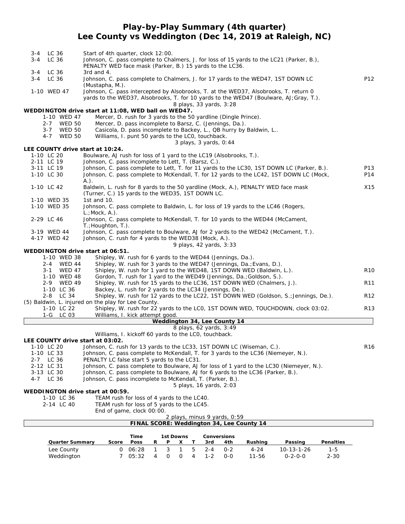# **Play-by-Play Summary (4th quarter) Lee County vs Weddington (Dec 14, 2019 at Raleigh, NC)**

| LC 36<br>3-4                     | Johnson, C. pass complete to Chalmers, J. for loss of 15 yards to the LC21 (Parker, B.),<br>PENALTY WED face mask (Parker, B.) 15 yards to the LC36. |                 |
|----------------------------------|------------------------------------------------------------------------------------------------------------------------------------------------------|-----------------|
| LC 36<br>3-4                     | 3rd and 4.                                                                                                                                           |                 |
| $3 - 4$<br>LC 36                 | Johnson, C. pass complete to Chalmers, J. for 17 yards to the WED47, 1ST DOWN LC<br>(Mustapha, M.).                                                  | P12             |
| 1-10 WED 47                      | Johnson, C. pass intercepted by Alsobrooks, T. at the WED37, Alsobrooks, T. return 0                                                                 |                 |
|                                  | yards to the WED37, Alsobrooks, T. for 10 yards to the WED47 (Boulware, AJ; Gray, T.).                                                               |                 |
|                                  | 8 plays, 33 yards, 3:28                                                                                                                              |                 |
|                                  | WEDDINGTON drive start at 11:08, WED ball on WED47.                                                                                                  |                 |
| 1-10 WED 47<br>2-7 WED 50        | Mercer, D. rush for 3 yards to the 50 yardline (Dingle Prince).<br>Mercer, D. pass incomplete to Barsz, C. (Jennings, Da.).                          |                 |
| $3 - 7$<br><b>WED 50</b>         | Casicola, D. pass incomplete to Backey, L., QB hurry by Baldwin, L                                                                                   |                 |
| $4 - 7$<br><b>WED 50</b>         | Williams, I. punt 50 yards to the LCO, touchback.                                                                                                    |                 |
|                                  | 3 plays, 3 yards, 0:44                                                                                                                               |                 |
| LEE COUNTY drive start at 10:24. |                                                                                                                                                      |                 |
| 1-10 LC 20                       | Boulware, AJ rush for loss of 1 yard to the LC19 (Alsobrooks, T.).                                                                                   |                 |
| 2-11 LC 19<br>3-11 LC 19         | Johnson, C. pass incomplete to Lett, T. (Barsz, C.).<br>Johnson, C. pass complete to Lett, T. for 11 yards to the LC30, 1ST DOWN LC (Parker, B.).    | P13             |
| 1-10 LC 30                       | Johnson, C. pass complete to McKendall, T. for 12 yards to the LC42, 1ST DOWN LC (Mock,                                                              | P14             |
|                                  | $A.$ ).                                                                                                                                              |                 |
| 1-10 LC 42                       | Baldwin, L. rush for 8 yards to the 50 yardline (Mock, A.), PENALTY WED face mask                                                                    | X15             |
|                                  | (Turner, C.) 15 yards to the WED35, 1ST DOWN LC.                                                                                                     |                 |
| 1-10 WED 35                      | 1st and $10$ .                                                                                                                                       |                 |
| 1-10 WED 35                      | Johnson, C. pass complete to Baldwin, L. for loss of 19 yards to the LC46 (Rogers,                                                                   |                 |
| 2-29 LC 46                       | $L$ ; Mock, A.).<br>Johnson, C. pass complete to McKendall, T. for 10 yards to the WED44 (McCament,                                                  |                 |
|                                  | $T$ .; Houghton, T.).                                                                                                                                |                 |
| 3-19 WED 44                      | Johnson, C. pass complete to Boulware, AJ for 2 yards to the WED42 (McCament, T.).                                                                   |                 |
| 4-17 WED 42                      | Johnson, C. rush for 4 yards to the WED38 (Mock, A.).                                                                                                |                 |
|                                  | 9 plays, 42 yards, 3:33                                                                                                                              |                 |
| WEDDINGTON drive start at 06:51. |                                                                                                                                                      |                 |
| 1-10 WED 38<br>2-4 WED 44        | Shipley, W. rush for 6 yards to the WED44 (Jennings, Da.).<br>Shipley, W. rush for 3 yards to the WED47 (Jennings, Da.; Evans, D.).                  |                 |
| <b>WED 47</b><br>$3 - 1$         | Shipley, W. rush for 1 yard to the WED48, 1ST DOWN WED (Baldwin, L.).                                                                                | R <sub>10</sub> |
| 1-10 WED 48                      | Gordon, T. rush for 1 yard to the WED49 (Jennings, Da.; Goldson, S.).                                                                                |                 |
| 2-9 WED 49                       | Shipley, W. rush for 15 yards to the LC36, 1ST DOWN WED (Chalmers, J.).                                                                              | R11             |
| 1-10 LC 36                       | Backey, L. rush for 2 yards to the LC34 (Jennings, De.).                                                                                             |                 |
| 2-8 LC 34                        | Shipley, W. rush for 12 yards to the LC22, 1ST DOWN WED (Goldson, S.; Jennings, De.).                                                                | R <sub>12</sub> |
|                                  | (5) Baldwin, L. injured on the play for Lee County.                                                                                                  |                 |
| 1-10 LC 22<br>1-G LC 03          | Shipley, W. rush for 22 yards to the LCO, 1ST DOWN WED, TOUCHDOWN, clock 03:02.<br>Williams, I. kick attempt good.                                   | R <sub>13</sub> |
|                                  | Weddington 34, Lee County 14                                                                                                                         |                 |
|                                  | 8 plays, 62 yards, 3:49                                                                                                                              |                 |
|                                  | Williams, I. kickoff 60 yards to the LCO, touchback.                                                                                                 |                 |
|                                  |                                                                                                                                                      |                 |
| LEE COUNTY drive start at 03:02. |                                                                                                                                                      |                 |
|                                  | 1-10 LC 20 Johnson, C. rush for 13 yards to the LC33, 1ST DOWN LC (Wiseman, C.).                                                                     | R <sub>16</sub> |
| 1-10 LC 33                       | Johnson, C. pass complete to McKendall, T. for 3 yards to the LC36 (Niemeyer, N.).                                                                   |                 |
| 2-7 LC 36                        | PENALTY LC false start 5 yards to the LC31.                                                                                                          |                 |
| 2-12 LC 31<br>3-13 LC 30         | Johnson, C. pass complete to Boulware, AJ for loss of 1 yard to the LC30 (Niemeyer, N.).                                                             |                 |
| 4-7 LC 36                        | Johnson, C. pass complete to Boulware, AJ for 6 yards to the LC36 (Parker, B.).<br>Johnson, C. pass incomplete to McKendall, T. (Parker, B.).        |                 |
|                                  | 5 plays, 16 yards, 2:03                                                                                                                              |                 |
| WEDDINGTON drive start at 00:59. |                                                                                                                                                      |                 |
| 1-10 LC 36                       | TEAM rush for loss of 4 yards to the LC40.                                                                                                           |                 |
| 2-14 LC 40                       | TEAM rush for loss of 5 yards to the LC45.                                                                                                           |                 |
|                                  | End of game, clock 00:00.<br>2 plays, minus 9 yards, 0:59                                                                                            |                 |
|                                  | FINAL SCORE: Weddington 34, Lee County 14                                                                                                            |                 |
|                                  | Time<br>1st Downs<br>Conversions                                                                                                                     |                 |

Lee County 0 06:28 1 3 1 5 2-4 0-2 4-24 10-13-1-26 1-5<br>Weddington 7 05:32 4 0 0 4 1-2 0-0 11-56 0-2-0-0 2-30

7 05:32 4 0 0 4 1-2 0-0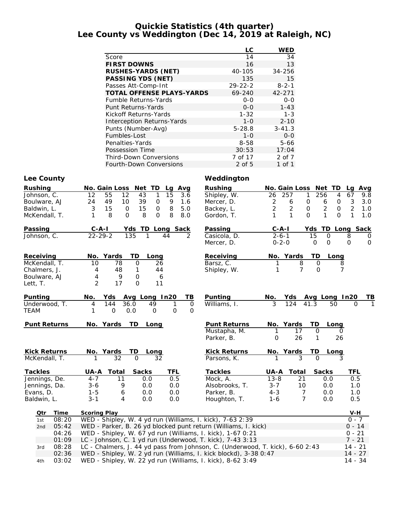# **Quickie Statistics (4th quarter) Lee County vs Weddington (Dec 14, 2019 at Raleigh, NC)**

|                                   | LC            | WED         |
|-----------------------------------|---------------|-------------|
| Score                             | 14            | 34          |
| <b>FIRST DOWNS</b>                | 16            | 13          |
| <b>RUSHES-YARDS (NET)</b>         | 40-105        | 34-256      |
| <b>PASSING YDS (NET)</b>          | 135           | 15          |
| Passes Att-Comp-Int               | $29 - 22 - 2$ | $8 - 2 - 1$ |
| <b>TOTAL OFFENSE PLAYS-YARDS</b>  | 69-240        | 42-271      |
| <b>Fumble Returns-Yards</b>       | $0 - 0$       | $0 - 0$     |
| Punt Returns-Yards                | $0 - 0$       | $1 - 43$    |
| Kickoff Returns-Yards             | $1 - 32$      | $1 - 3$     |
| <b>Interception Returns-Yards</b> | $1 - \Omega$  | $2 - 10$    |
| Punts (Number-Avg)                | $5 - 28.8$    | $3 - 41.3$  |
| Fumbles-Lost                      | $1 - 0$       | $0 - 0$     |
| Penalties-Yards                   | 8-58          | $5 - 66$    |
| Possession Time                   | 30:53         | 17:04       |
| <b>Third-Down Conversions</b>     | 7 of 17       | 2 of 7      |
| Fourth-Down Conversions           | 2 of 5        | 1 of 1      |

### Lee County **County Weddington**

|          | Rushing        |                     |                     | No. Gain Loss Net TD |             |               |                  | Lg Avg       |             | <b>Rushing</b>                                                                |                            | No. Gain Loss Net TD |                     |                               | Lg Avg           |                  |
|----------|----------------|---------------------|---------------------|----------------------|-------------|---------------|------------------|--------------|-------------|-------------------------------------------------------------------------------|----------------------------|----------------------|---------------------|-------------------------------|------------------|------------------|
|          | Johnson, C.    |                     | 12                  | 55                   | 12          | 43            | 15<br>1          | 3.6          |             | Shipley, W.                                                                   | 26                         | 257                  | 256<br>1            | 4                             | 67               | 9.8              |
|          | Boulware, AJ   |                     | 24                  | 49                   | 10          | 39            | 9<br>$\mathbf 0$ | 1.6          |             | Mercer, D.                                                                    | $\overline{c}$             | 6                    | 0                   | $\mathbf 0$<br>6              | 3                | 3.0              |
|          | Baldwin, L.    |                     | 3                   | 15                   | $\mathbf 0$ | 15            | 8<br>0           | 5.0          |             | Backey, L.                                                                    | $\overline{2}$             | 2                    | $\mathsf{O}\xspace$ | $\overline{2}$<br>$\mathbf 0$ | $\overline{2}$   | 1.0              |
|          | McKendall, T.  |                     | 1                   | 8                    | $\Omega$    | 8             | 8<br>$\Omega$    | 8.0          |             | Gordon, T.                                                                    | $\mathbf{1}$               | $\mathbf{1}$         | $\Omega$            | 1<br>$\Omega$                 | $\mathbf{1}$     | 1.0              |
|          | Passing        |                     | $C - A - I$         |                      | Yds         | TD_Long Sack  |                  |              |             | Passing                                                                       | $C - A - I$                |                      |                     | Yds TD Long Sack              |                  |                  |
|          | Johnson, C.    |                     | $22 - 29 - 2$       |                      | 135         | 1             | 44               |              | 2           | Casicola, D.<br>Mercer, D.                                                    | $2 - 6 - 1$<br>$0 - 2 - 0$ |                      | 15<br>$\mathbf 0$   | 0<br>$\mathbf 0$              | 8<br>$\mathbf 0$ | 0<br>$\mathbf 0$ |
|          | Receiving      |                     |                     | No. Yards            | TD          | Long          |                  |              |             | Receiving                                                                     |                            | No. Yards            | TD                  | Long                          |                  |                  |
|          | McKendall, T.  |                     | 10                  | 78                   | $\mathbf 0$ |               | 26               |              |             | Barsz, C.                                                                     | 1                          | 8                    | $\mathbf 0$         |                               | 8                |                  |
|          | Chalmers, J.   |                     | 4                   | 48                   | 1           |               | 44               |              |             | Shipley, W.                                                                   | 1                          | 7                    | $\Omega$            |                               | 7                |                  |
|          | Boulware, AJ   |                     | 4                   | 9                    | $\mathbf 0$ |               | 6                |              |             |                                                                               |                            |                      |                     |                               |                  |                  |
| Lett, T. |                |                     | $\overline{2}$      | 17                   | $\mathbf 0$ |               | 11               |              |             |                                                                               |                            |                      |                     |                               |                  |                  |
|          | Punting        |                     | No.                 | Yds                  |             | Avg Long In20 |                  |              | ΤВ          | <b>Punting</b>                                                                | No.                        | Yds                  |                     | Avg Long In20                 |                  | TВ               |
|          |                | Underwood, T.       | 4                   | 144                  | 36.0        | 49            |                  | 1            | $\mathbf 0$ | Williams, I.                                                                  | 3                          | 124                  | 41.3                | 50                            | $\Omega$         |                  |
| TEAM     |                |                     | 1                   | $\mathbf 0$          | 0.0         | $\mathbf 0$   |                  | $\mathsf{O}$ | $\Omega$    |                                                                               |                            |                      |                     |                               |                  |                  |
|          |                | <b>Punt Returns</b> |                     | No. Yards            | TD          | Long          |                  |              |             | <b>Punt Returns</b>                                                           |                            | No. Yards            | <b>TD</b>           | Long                          |                  |                  |
|          |                |                     |                     |                      |             |               |                  |              |             | Mustapha, M.                                                                  | 1                          | 17                   | $\mathbf 0$         | 0                             |                  |                  |
|          |                |                     |                     |                      |             |               |                  |              |             | Parker, B.                                                                    | $\mathbf 0$                | 26                   | 1                   | 26                            |                  |                  |
|          |                | <b>Kick Returns</b> |                     | No. Yards            | TD          | Long          |                  |              |             | <b>Kick Returns</b>                                                           |                            | No. Yards            | TD                  | Long                          |                  |                  |
|          |                | McKendall, T.       | 1                   | 32                   | $\Omega$    |               | 32               |              |             | Parsons, K.                                                                   | 1                          | 3                    | $\Omega$            | 3                             |                  |                  |
|          | <b>Tackles</b> |                     | <b>UA-A</b>         | Total                |             | <b>Sacks</b>  |                  | TFL          |             | <b>Tackles</b>                                                                | UA-A                       | <b>Total</b>         |                     | <b>Sacks</b>                  | <b>TFL</b>       |                  |
|          |                | Jennings, De.       | $4 - 7$             | 11                   |             | 0.0           |                  | 0.5          |             | Mock, A.                                                                      | $13 - 8$                   | 21                   |                     | 0.0                           | 0.5              |                  |
|          |                | Jennings, Da.       | $3 - 6$             | 9                    |             | 0.0           |                  | 0.0          |             | Alsobrooks, T.                                                                | $3 - 7$                    | 10                   |                     | 0.0                           | 1.0              |                  |
|          | Evans, D.      |                     | $1 - 5$             | 6                    |             | 0.0           |                  | 0.0          |             | Parker, B.                                                                    | $4 - 3$                    | 7                    |                     | 0.0                           | 1.0              |                  |
|          | Baldwin, L.    |                     | $3 - 1$             | 4                    |             | 0.0           |                  | 0.0          |             | Houghton, T.                                                                  | $1 - 6$                    | $\overline{7}$       |                     | 0.0                           | 0.5              |                  |
|          | Qtr            | Time                | <b>Scoring Play</b> |                      |             |               |                  |              |             |                                                                               |                            |                      |                     |                               | $V-H$            |                  |
|          | 1st            | 08:20               |                     |                      |             |               |                  |              |             | WED - Shipley, W. 4 yd run (Williams, I. kick), 7-63 2:39                     |                            |                      |                     |                               | $0 - 7$          |                  |
|          | 2nd            | 05:42               |                     |                      |             |               |                  |              |             | WED - Parker, B. 26 yd blocked punt return (Williams, I. kick)                |                            |                      |                     |                               | $0 - 14$         |                  |
|          |                | 04:26               |                     |                      |             |               |                  |              |             | WED - Shipley, W. 67 yd run (Williams, I. kick), 1-67 0:21                    |                            |                      |                     |                               | $0 - 21$         |                  |
|          |                | 01:09               |                     |                      |             |               |                  |              |             | LC - Johnson, C. 1 yd run (Underwood, T. kick), 7-43 3:13                     |                            |                      |                     |                               | $7 - 21$         |                  |
|          | 3rd            | 08:28               |                     |                      |             |               |                  |              |             | LC - Chalmers, J. 44 yd pass from Johnson, C. (Underwood, T. kick), 6-60 2:43 |                            |                      |                     |                               | $14 - 21$        |                  |
|          |                | 02:36               |                     |                      |             |               |                  |              |             | WED - Shipley, W. 2 yd run (Williams, I. kick blockd), 3-38 0:47              |                            |                      |                     |                               | $14 - 27$        |                  |
|          | 4th            | 03:02               |                     |                      |             |               |                  |              |             | WED - Shipley, W. 22 yd run (Williams, I. kick), 8-62 3:49                    |                            |                      |                     |                               | $14 - 34$        |                  |